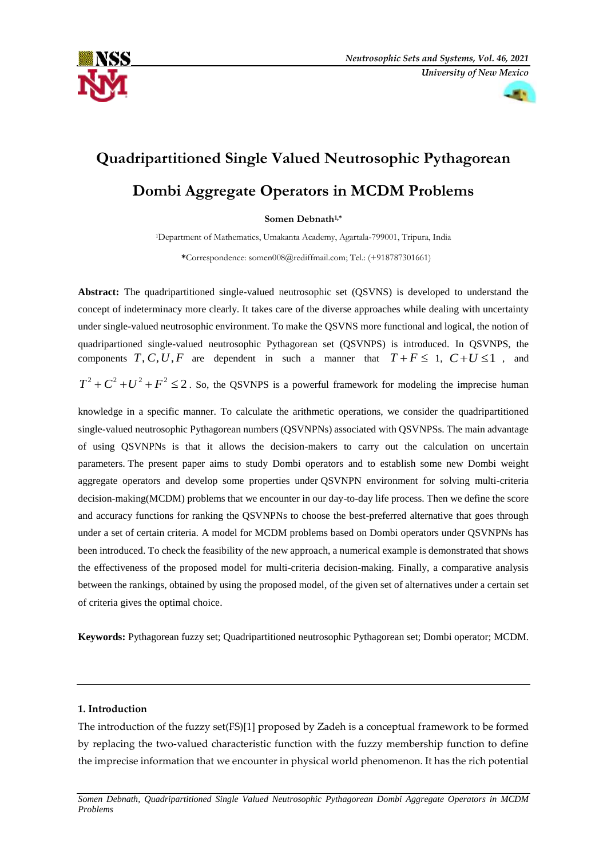



# **Quadripartitioned Single Valued Neutrosophic Pythagorean Dombi Aggregate Operators in MCDM Problems**

**Somen Debnath1,\***

<sup>1</sup>Department of Mathematics, Umakanta Academy, Agartala-799001, Tripura, India

**\***Correspondence: somen008@rediffmail.com; Tel.: (+918787301661)

**Abstract:** The quadripartitioned single-valued neutrosophic set (QSVNS) is developed to understand the concept of indeterminacy more clearly. It takes care of the diverse approaches while dealing with uncertainty under single-valued neutrosophic environment. To make the QSVNS more functional and logical, the notion of quadripartioned single-valued neutrosophic Pythagorean set (QSVNPS) is introduced. In QSVNPS, the components  $T, C, U, F$  are dependent in such a manner that  $T + F \leq 1$ ,  $C + U \leq 1$ , and  $T^2 + C^2 + U^2 + F^2 \le 2$ . So, the QSVNPS is a powerful framework for modeling the imprecise human

knowledge in a specific manner. To calculate the arithmetic operations, we consider the quadripartitioned single-valued neutrosophic Pythagorean numbers (QSVNPNs) associated with QSVNPSs. The main advantage of using QSVNPNs is that it allows the decision-makers to carry out the calculation on uncertain parameters. The present paper aims to study Dombi operators and to establish some new Dombi weight aggregate operators and develop some properties under QSVNPN environment for solving multi-criteria decision-making(MCDM) problems that we encounter in our day-to-day life process. Then we define the score and accuracy functions for ranking the QSVNPNs to choose the best-preferred alternative that goes through under a set of certain criteria. A model for MCDM problems based on Dombi operators under QSVNPNs has been introduced. To check the feasibility of the new approach, a numerical example is demonstrated that shows the effectiveness of the proposed model for multi-criteria decision-making. Finally, a comparative analysis between the rankings, obtained by using the proposed model, of the given set of alternatives under a certain set of criteria gives the optimal choice.

**Keywords:** Pythagorean fuzzy set; Quadripartitioned neutrosophic Pythagorean set; Dombi operator; MCDM.

# **1. Introduction**

The introduction of the fuzzy set(FS)[1] proposed by Zadeh is a conceptual framework to be formed by replacing the two-valued characteristic function with the fuzzy membership function to define the imprecise information that we encounter in physical world phenomenon. It has the rich potential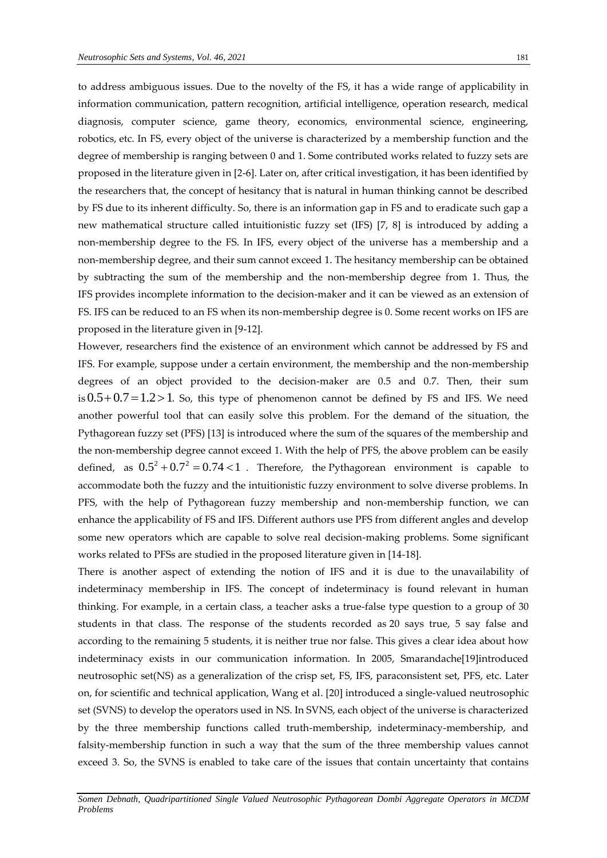to address ambiguous issues. Due to the novelty of the FS, it has a wide range of applicability in information communication, pattern recognition, artificial intelligence, operation research, medical diagnosis, computer science, game theory, economics, environmental science, engineering, robotics, etc. In FS, every object of the universe is characterized by a membership function and the degree of membership is ranging between 0 and 1. Some contributed works related to fuzzy sets are proposed in the literature given in [2-6]. Later on, after critical investigation, it has been identified by the researchers that, the concept of hesitancy that is natural in human thinking cannot be described by FS due to its inherent difficulty. So, there is an information gap in FS and to eradicate such gap a new mathematical structure called intuitionistic fuzzy set (IFS) [7, 8] is introduced by adding a non-membership degree to the FS. In IFS, every object of the universe has a membership and a non-membership degree, and their sum cannot exceed 1. The hesitancy membership can be obtained by subtracting the sum of the membership and the non-membership degree from 1. Thus, the IFS provides incomplete information to the decision-maker and it can be viewed as an extension of FS. IFS can be reduced to an FS when its non-membership degree is 0. Some recent works on IFS are proposed in the literature given in [9-12].

However, researchers find the existence of an environment which cannot be addressed by FS and IFS. For example, suppose under a certain environment, the membership and the non-membership degrees of an object provided to the decision-maker are 0.5 and 0.7. Then, their sum  $\sin 0.5 + 0.7 = 1.2 > 1$ . So, this type of phenomenon cannot be defined by FS and IFS. We need another powerful tool that can easily solve this problem. For the demand of the situation, the Pythagorean fuzzy set (PFS) [13] is introduced where the sum of the squares of the membership and the non-membership degree cannot exceed 1. With the help of PFS, the above problem can be easily defined, as  $0.5^2 + 0.7^2 = 0.74 < 1$ . Therefore, the Pythagorean environment is capable to accommodate both the fuzzy and the intuitionistic fuzzy environment to solve diverse problems. In PFS, with the help of Pythagorean fuzzy membership and non-membership function, we can enhance the applicability of FS and IFS. Different authors use PFS from different angles and develop some new operators which are capable to solve real decision-making problems. Some significant works related to PFSs are studied in the proposed literature given in [14-18].

There is another aspect of extending the notion of IFS and it is due to the unavailability of indeterminacy membership in IFS. The concept of indeterminacy is found relevant in human thinking. For example, in a certain class, a teacher asks a true-false type question to a group of 30 students in that class. The response of the students recorded as 20 says true, 5 say false and according to the remaining 5 students, it is neither true nor false. This gives a clear idea about how indeterminacy exists in our communication information. In 2005, Smarandache[19]introduced neutrosophic set(NS) as a generalization of the crisp set, FS, IFS, paraconsistent set, PFS, etc. Later on, for scientific and technical application, Wang et al. [20] introduced a single-valued neutrosophic set (SVNS) to develop the operators used in NS. In SVNS, each object of the universe is characterized by the three membership functions called truth-membership, indeterminacy-membership, and falsity-membership function in such a way that the sum of the three membership values cannot exceed 3. So, the SVNS is enabled to take care of the issues that contain uncertainty that contains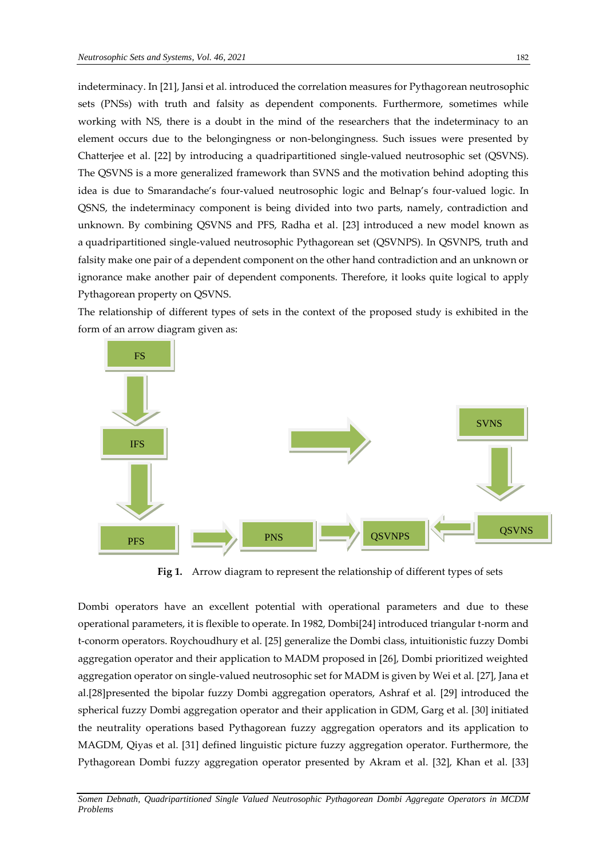indeterminacy. In [21], Jansi et al. introduced the correlation measures for Pythagorean neutrosophic sets (PNSs) with truth and falsity as dependent components. Furthermore, sometimes while working with NS, there is a doubt in the mind of the researchers that the indeterminacy to an element occurs due to the belongingness or non-belongingness. Such issues were presented by Chatterjee et al. [22] by introducing a quadripartitioned single-valued neutrosophic set (QSVNS). The QSVNS is a more generalized framework than SVNS and the motivation behind adopting this idea is due to Smarandache's four-valued neutrosophic logic and Belnap's four-valued logic. In QSNS, the indeterminacy component is being divided into two parts, namely, contradiction and unknown. By combining QSVNS and PFS, Radha et al. [23] introduced a new model known as a quadripartitioned single-valued neutrosophic Pythagorean set (QSVNPS). In QSVNPS, truth and falsity make one pair of a dependent component on the other hand contradiction and an unknown or ignorance make another pair of dependent components. Therefore, it looks quite logical to apply Pythagorean property on QSVNS.

The relationship of different types of sets in the context of the proposed study is exhibited in the form of an arrow diagram given as:



 **Fig 1.** Arrow diagram to represent the relationship of different types of sets

Dombi operators have an excellent potential with operational parameters and due to these operational parameters, it is flexible to operate. In 1982, Dombi[24] introduced triangular t-norm and t-conorm operators. Roychoudhury et al. [25] generalize the Dombi class, intuitionistic fuzzy Dombi aggregation operator and their application to MADM proposed in [26], Dombi prioritized weighted aggregation operator on single-valued neutrosophic set for MADM is given by Wei et al. [27], Jana et al.[28]presented the bipolar fuzzy Dombi aggregation operators, Ashraf et al. [29] introduced the spherical fuzzy Dombi aggregation operator and their application in GDM, Garg et al. [30] initiated the neutrality operations based Pythagorean fuzzy aggregation operators and its application to MAGDM, Qiyas et al. [31] defined linguistic picture fuzzy aggregation operator. Furthermore, the Pythagorean Dombi fuzzy aggregation operator presented by Akram et al. [32], Khan et al. [33]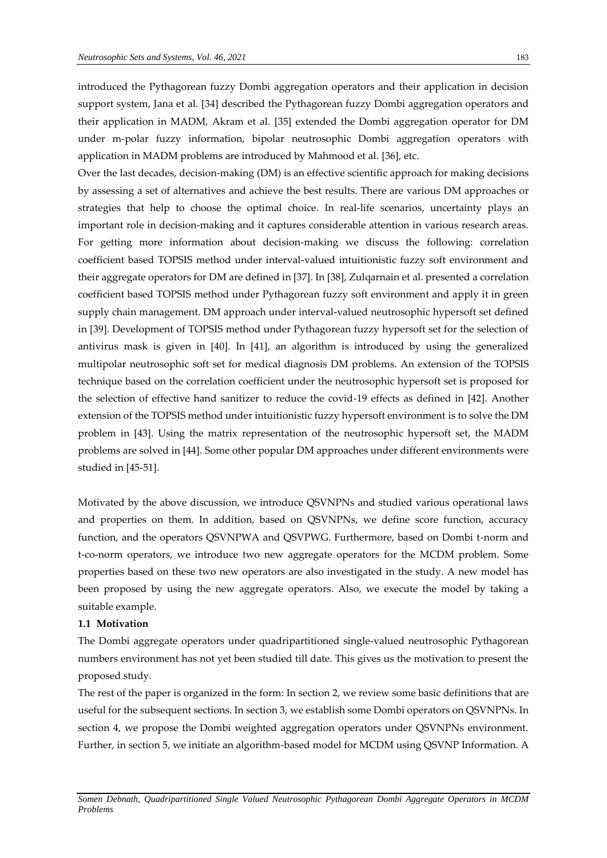introduced the Pythagorean fuzzy Dombi aggregation operators and their application in decision support system, Jana et al. [34] described the Pythagorean fuzzy Dombi aggregation operators and their application in MADM, Akram et al. [35] extended the Dombi aggregation operator for DM under m-polar fuzzy information, bipolar neutrosophic Dombi aggregation operators with application in MADM problems are introduced by Mahmood et al. [36], etc.

Over the last decades, decision-making (DM) is an effective scientific approach for making decisions by assessing a set of alternatives and achieve the best results. There are various DM approaches or strategies that help to choose the optimal choice. In real-life scenarios, uncertainty plays an important role in decision-making and it captures considerable attention in various research areas. For getting more information about decision-making we discuss the following: correlation coefficient based TOPSIS method under interval-valued intuitionistic fuzzy soft environment and their aggregate operators for DM are defined in [37]. In [38], Zulqarnain et al. presented a correlation coefficient based TOPSIS method under Pythagorean fuzzy soft environment and apply it in green supply chain management. DM approach under interval-valued neutrosophic hypersoft set defined in [39]. Development of TOPSIS method under Pythagorean fuzzy hypersoft set for the selection of antivirus mask is given in [40]. In [41], an algorithm is introduced by using the generalized multipolar neutrosophic soft set for medical diagnosis DM problems. An extension of the TOPSIS technique based on the correlation coefficient under the neutrosophic hypersoft set is proposed for the selection of effective hand sanitizer to reduce the covid-19 effects as defined in [42]. Another extension of the TOPSIS method under intuitionistic fuzzy hypersoft environment is to solve the DM problem in [43]. Using the matrix representation of the neutrosophic hypersoft set, the MADM problems are solved in [44]. Some other popular DM approaches under different environments were studied in [45-51].

Motivated by the above discussion, we introduce QSVNPNs and studied various operational laws and properties on them. In addition, based on QSVNPNs, we define score function, accuracy function, and the operators QSVNPWA and QSVPWG. Furthermore, based on Dombi t-norm and t-co-norm operators, we introduce two new aggregate operators for the MCDM problem. Some properties based on these two new operators are also investigated in the study. A new model has been proposed by using the new aggregate operators. Also, we execute the model by taking a suitable example.

# **1.1 Motivation**

The Dombi aggregate operators under quadripartitioned single-valued neutrosophic Pythagorean numbers environment has not yet been studied till date. This gives us the motivation to present the proposed study.

The rest of the paper is organized in the form: In section 2, we review some basic definitions that are useful for the subsequent sections. In section 3, we establish some Dombi operators on QSVNPNs. In section 4, we propose the Dombi weighted aggregation operators under QSVNPNs environment. Further, in section 5, we initiate an algorithm-based model for MCDM using QSVNP Information. A

*Somen Debnath, Quadripartitioned Single Valued Neutrosophic Pythagorean Dombi Aggregate Operators in MCDM Problems*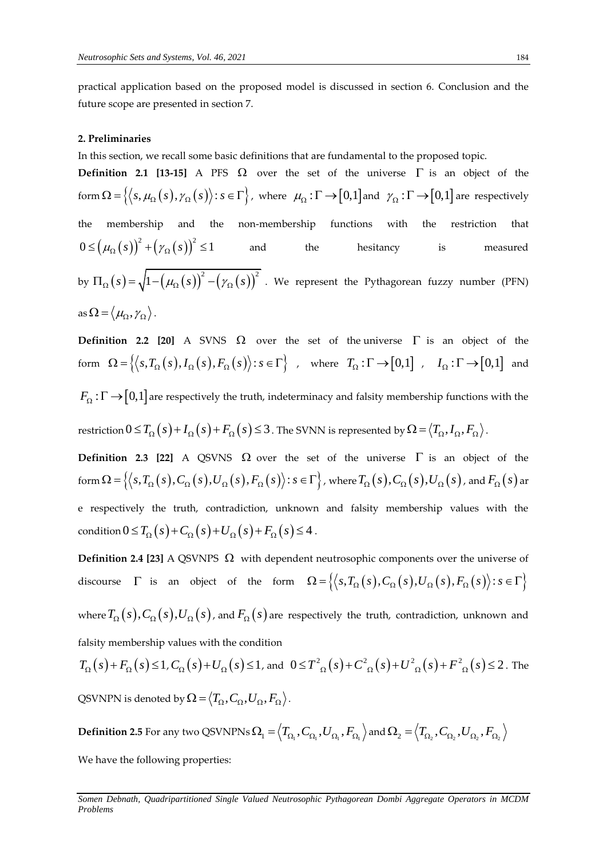practical application based on the proposed model is discussed in section 6. Conclusion and the future scope are presented in section 7.

### **2. Preliminaries**

In this section, we recall some basic definitions that are fundamental to the proposed topic.

**Definition 2.1 [13-15]** A PFS  $\Omega$  over the set of the universe  $\Gamma$  is an object of the form  $\Omega = \{ (s, \mu_{\Omega}(s), \gamma_{\Omega}(s)) : s \in \Gamma \}$ , where  $\mu_{\Omega} : \Gamma \to [0,1]$  and  $\gamma_{\Omega} : \Gamma \to [0,1]$  are respectively the membership and the non-membership functions with the restriction that  $(\mu_{\Omega}(s))^2 + (\gamma_{\Omega}(s))^2$  $0 \le (\mu_{\Omega}(s))^2 + (\gamma_{\Omega}(s))^2 \le 1$ and the hesitancy is measured by  $\Pi_{\Omega}(s) = \sqrt{1-(\mu_{\Omega}(s))^2-(\gamma_{\Omega}(s))^2}$  $\Pi_{\Omega}(s) = \sqrt{1 - (\mu_{\Omega}(s))^2 - (\gamma_{\Omega}(s))^2}$ . We represent the Pythagorean fuzzy number (PFN) as  $\Omega = \langle \mu_{\Omega}, \gamma_{\Omega} \rangle$  .

**Definition 2.2 [20]** A SVNS  $\Omega$  over the set of the universe  $\Gamma$  is an object of the Form  $\Omega = \left\{ \left\langle s, T_{\Omega}(s), I_{\Omega}(s), F_{\Omega}(s) \right\rangle : s \in \Gamma \right\}$ , where  $T_{\Omega} : \Gamma \to [0,1]$ ,  $I_{\Omega} : \Gamma \to [0,1]$  and  $F_{\Omega}$  :  $\Gamma$   $\rightarrow$   $[0,1]$  are respectively the truth, indeterminacy and falsity membership functions with the

restriction  $0 \le T_{\Omega}(s) + I_{\Omega}(s) + F_{\Omega}(s) \le 3$  . The SVNN is represented by  $\Omega = \langle T_{\Omega}, I_{\Omega}, F_{\Omega} \rangle$  .

**Definition 2.3 [22]** A QSVNS  $\Omega$  over the set of the universe  $\Gamma$  is an object of the **Definition 2.3 [22]** A QSVNS  $\Omega$  over the set of the universe  $\Gamma$  is an object of the form  $\Omega = \left\{ \left\langle s, T_{\Omega}(s), C_{\Omega}(s), U_{\Omega}(s), F_{\Omega}(s) \right\rangle : s \in \Gamma \right\}$ , where  $T_{\Omega}(s), C_{\Omega}(s), U_{\Omega}(s)$ , and  $F_{\Omega}(s)$  are e respectively the truth, contradiction, unknown and falsity membership values with the e respectively the truth, contradiction, unknown a<br>condition  $0 \le T_{\Omega}(s) + C_{\Omega}(s) + U_{\Omega}(s) + F_{\Omega}(s) \le 4$ .

**Definition 2.4 [23]** A QSVNPS  $\Omega$  with dependent neutrosophic components over the universe of **Definition 2.4 [23]** A QSVNPS  $\Omega$  with dependent neutrosophic components over the universe of discourse  $\Gamma$  is an object of the form  $\Omega = \{(s, T_{\Omega}(s), C_{\Omega}(s), U_{\Omega}(s), F_{\Omega}(s)) : s \in \Gamma\}$ where  $T_{_{\Omega}}(s), C_{_{\Omega}}(s), U_{_{\Omega}}(s)$  , and  $F_{_{\Omega}}(s)$  are respectively the truth, contradiction, unknown and falsity membership values with the condition

falsity membership values with the condition<br>  $T_{\Omega}(s) + F_{\Omega}(s) \le 1$ ,  $C_{\Omega}(s) + U_{\Omega}(s) \le 1$ , and  $0 \le T_{\Omega}^2(s) + C_{\Omega}^2(s) + U_{\Omega}^2(s) + F_{\Omega}^2(s) \le 2$ . The QSVNPN is denoted by  $\Omega$  =  $\left\langle T_\Omega, C_\Omega, U_\Omega, F_\Omega \right\rangle$  .

 $\textbf{Definition 2.5} \text{ For any two QSVNPNs }\Omega_{\text{l}}=\left\langle T_{\Omega_{\text{l}}},C_{\Omega_{\text{l}}},U_{\Omega_{\text{l}}},F_{\Omega_{\text{l}}}\right\rangle \text{and }\Omega_{\text{2}}=\left\langle T_{\Omega_{\text{2}}},C_{\Omega_{\text{2}}},U_{\Omega_{\text{2}}},F_{\Omega_{\text{2}}}\right\rangle$ 

We have the following properties:

*Somen Debnath, Quadripartitioned Single Valued Neutrosophic Pythagorean Dombi Aggregate Operators in MCDM Problems*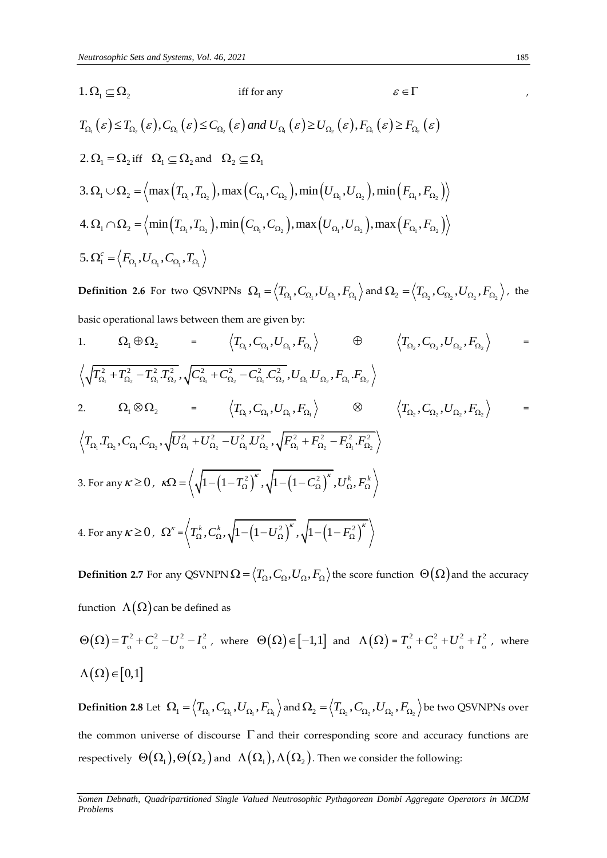1. 
$$
\Omega_1 \subseteq \Omega_2
$$
 iff for any  $\varepsilon \in \Gamma$  ,  
\n $T_{\Omega_1}(\varepsilon) \leq T_{\Omega_2}(\varepsilon), C_{\Omega_1}(\varepsilon) \leq C_{\Omega_2}(\varepsilon)$  and  $U_{\Omega_1}(\varepsilon) \geq U_{\Omega_2}(\varepsilon), F_{\Omega_1}(\varepsilon) \geq F_{\Omega_2}(\varepsilon)$   
\n2.  $\Omega_1 = \Omega_2$  iff  $\Omega_1 \subseteq \Omega_2$  and  $\Omega_2 \subseteq \Omega_1$   
\n3.  $\Omega_1 \cup \Omega_2 = \left\langle \max(T_{\Omega_1}, T_{\Omega_2}), \max(C_{\Omega_1}, C_{\Omega_2}), \min(U_{\Omega_1}, U_{\Omega_2}), \min(F_{\Omega_1}, F_{\Omega_2}) \right\rangle$   
\n4.  $\Omega_1 \cap \Omega_2 = \left\langle \min(T_{\Omega_1}, T_{\Omega_2}), \min(C_{\Omega_1}, C_{\Omega_2}), \max(U_{\Omega_1}, U_{\Omega_2}), \max(F_{\Omega_1}, F_{\Omega_2}) \right\rangle$   
\n5.  $\Omega_1^c = \left\langle F_{\Omega_1}, U_{\Omega_1}, C_{\Omega_1}, T_{\Omega_1} \right\rangle$ 

**Definition 2.6** For two QSVNPNs  $\Omega_1 = \langle T_{\Omega_1}, C_{\Omega_1}, U_{\Omega_1}, F_{\Omega_1} \rangle$  and  $\Omega_2 = \langle T_{\Omega_2}, C_{\Omega_2}, U_{\Omega_2}, F_{\Omega_2} \rangle$ , the basic operational laws between them are given by:

1. 
$$
\Omega_1 \oplus \Omega_2 = \left\langle T_{\Omega_1}, C_{\Omega_1}, U_{\Omega_1}, F_{\Omega_1} \right\rangle \oplus \left\langle T_{\Omega_2}, C_{\Omega_2}, U_{\Omega_2}, F_{\Omega_2} \right\rangle =
$$
  
\n $\left\langle \sqrt{T_{\Omega_1}^2 + T_{\Omega_2}^2 - T_{\Omega_1}^2 T_{\Omega_2}^2}, \sqrt{C_{\Omega_1}^2 + C_{\Omega_2}^2 - C_{\Omega_1}^2 C_{\Omega_2}^2}, U_{\Omega_1} U_{\Omega_2}, F_{\Omega_1} F_{\Omega_2} \right\rangle$   
\n2.  $\Omega_1 \otimes \Omega_2 = \left\langle T_{\Omega_1}, C_{\Omega_1}, U_{\Omega_1}, F_{\Omega_1} \right\rangle \otimes \left\langle T_{\Omega_2}, C_{\Omega_2}, U_{\Omega_2}, F_{\Omega_2} \right\rangle =$   
\n $\left\langle T_{\Omega_1} T_{\Omega_2}, C_{\Omega_1} C_{\Omega_2}, \sqrt{U_{\Omega_1}^2 + U_{\Omega_2}^2 - U_{\Omega_1}^2 U_{\Omega_2}^2}, \sqrt{F_{\Omega_1}^2 + F_{\Omega_2}^2 - F_{\Omega_1}^2 F_{\Omega_2}^2} \right\rangle$   
\n3. For any  $\kappa \ge 0$ ,  $\kappa \Omega = \left\langle \sqrt{1 - (1 - T_{\Omega}^2)^{\kappa}}, \sqrt{1 - (1 - C_{\Omega}^2)^{\kappa}}, U_{\Omega}^k, F_{\Omega}^k \right\rangle$   
\n4. For any  $\kappa \ge 0$ ,  $\Omega^{\kappa} = \left\langle T_{\Omega}^k, C_{\Omega}^k, \sqrt{1 - (1 - U_{\Omega}^2)^{\kappa}}, \sqrt{1 - (1 - F_{\Omega}^2)^{\kappa}} \right\rangle$ 

 $\bf{Definition 2.7}$  For any QSVNPN  $\Omega$  =  $\big\langle T_\Omega, C_\Omega, U_\Omega, F_\Omega \big\rangle$  the score function  $\ \Theta(\Omega)$  and the accuracy function  $\,\Lambda(\Omega)$  can be defined as

$$
\Theta(\Omega) = T_{\Omega}^2 + C_{\Omega}^2 - U_{\Omega}^2 - I_{\Omega}^2, \text{ where } \Theta(\Omega) \in [-1, 1] \text{ and } \Lambda(\Omega) = T_{\Omega}^2 + C_{\Omega}^2 + U_{\Omega}^2 + I_{\Omega}^2, \text{ where}
$$
  

$$
\Lambda(\Omega) \in [0, 1]
$$

 $\textbf{Definition 2.8 Let}~~ \Omega_{\text{l}}=\left\langle T_{\Omega_{\text{l}}},C_{\Omega_{\text{l}}},U_{\Omega_{\text{l}}},F_{\Omega_{\text{l}}}\right\rangle$  and  $\Omega_{\text{2}}=\left\langle T_{\Omega_{\text{2}}},C_{\Omega_{\text{2}}},U_{\Omega_{\text{2}}},F_{\Omega_{\text{2}}}\right\rangle$  be two QSVNPNs over the common universe of discourse  $\Gamma$  and their corresponding score and accuracy functions are respectively  $\ \Theta(\Omega_1), \Theta(\Omega_2)$  and  $\ \Lambda(\Omega_1), \Lambda(\Omega_2)$  . Then we consider the following:

*Somen Debnath, Quadripartitioned Single Valued Neutrosophic Pythagorean Dombi Aggregate Operators in MCDM Problems*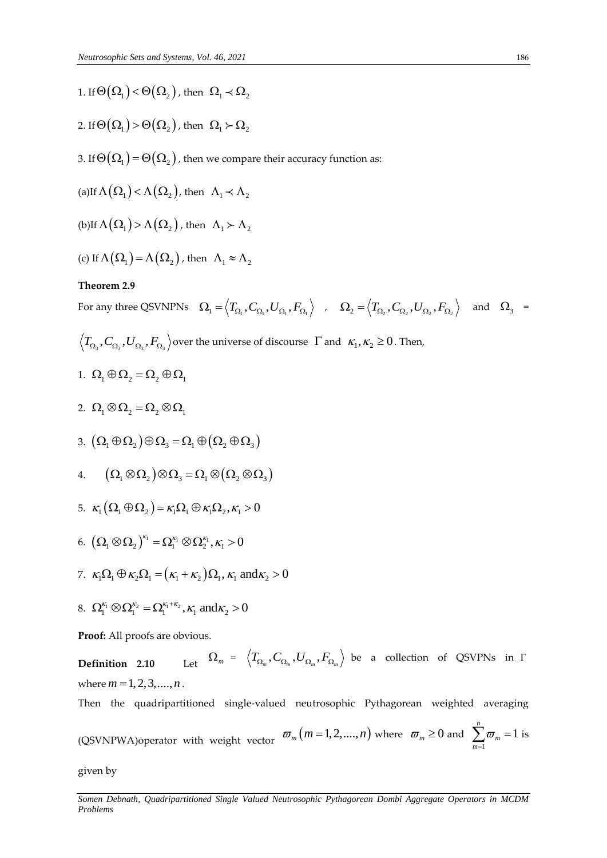- 1. If  $\Theta(\Omega_{_1})$  <  $\Theta(\Omega_{_2})$  , then  $\Omega_{_1}$   $\prec \Omega_{_2}$
- 2. If  $\Theta(\Omega_{1})$  >  $\Theta(\Omega_{2})$  , then  $\Omega_{1} \succ \Omega_{2}$
- 3. If  $\Theta\big(\Omega_{_1}\big)\!=\!\Theta\big(\Omega_{_2}\big)$  , then we compare their accuracy function as:
- (a)If  $\Lambda(\Omega_1)$  <  $\Lambda(\Omega_2)$ , then  $\Lambda_1 \prec \Lambda_2$
- (b)If  $\Lambda(\Omega_1)$  >  $\Lambda(\Omega_2)$ , then  $\Lambda_1 \succ \Lambda_2$
- (c) If  $\Lambda(\Omega_1) = \Lambda(\Omega_2)$ , then  $\Lambda_1 \approx \Lambda_2$

### **Theorem 2.9**

For any three QSVNPNs  $\Omega_1 = \langle T_{\Omega_1}, C_{\Omega_1}, U_{\Omega_1}, F_{\Omega_1} \rangle$  ,  $\Omega_2 = \langle T_{\Omega_2}, C_{\Omega_2}, U_{\Omega_2}, F_{\Omega_2} \rangle$  and  $\Omega_3 =$ 

- $T_{\Omega_3}, C_{\Omega_3}, U_{\Omega_3}, F_{\Omega_3}$  over the universe of discourse  $\ \Gamma$  and  $\ \kappa_1, \kappa_2 \geq 0$  . Then,
- 1.  $\Omega_1 \oplus \Omega_2 = \Omega_2 \oplus \Omega_1$
- 2.  $\Omega_1 \otimes \Omega_2 = \Omega_2 \otimes \Omega_1$
- 3.  $(\Omega_1 \oplus \Omega_2) \oplus \Omega_3 = \Omega_1 \oplus (\Omega_2 \oplus \Omega_3)$
- 4.  $(\Omega_1 \otimes \Omega_2) \otimes \Omega_2 = \Omega_1 \otimes (\Omega_2 \otimes \Omega_2)$
- 5.  $\kappa_1(\Omega_1 \oplus \Omega_2) = \kappa_1 \Omega_1 \oplus \kappa_1 \Omega_2, \kappa_1 > 0$
- 6.  $\left(\Omega_{\text{I}}\otimes\Omega_{\text{2}}\right)^{\kappa_{\text{I}}}=\Omega_{\text{I}}^{\kappa_{\text{I}}}\otimes\Omega_{\text{2}}^{\kappa_{\text{I}}},\kappa_{\text{I}}>0$
- 7.  $\kappa_1 \Omega_1 \oplus \kappa_2 \Omega_1 = (\kappa_1 + \kappa_2) \Omega_1, \kappa_1 \text{ and } \kappa_2 > 0$
- 8.  $\Omega_1^{\kappa_1} \otimes \Omega_1^{\kappa_2} = \Omega_1^{\kappa_1 + \kappa_2}, \kappa_1 \text{ and } \kappa_2 > 0$

**Proof:** All proofs are obvious.

**Definition** 2.10  $\Omega_m$  =  $\left\langle T_{\Omega_m},C_{\Omega_m},U_{\Omega_m},F_{\Omega_m}\right\rangle$  be a collection of QSVPNs in  $\Gamma$ where  $m = 1, 2, 3, \dots, n$ .

Then the quadripartitioned single-valued neutrosophic Pythagorean weighted averaging

(QSVNPWA)operator with weight vector  $\varpi_m(m=1,2,....,n)$  where  $\varpi_m \geq 0$  and 1 1 *n m m*  $\varpi$  $\sum_{m=1}^{\infty} \overline{\omega}_m = 1$  is

given by

*Somen Debnath, Quadripartitioned Single Valued Neutrosophic Pythagorean Dombi Aggregate Operators in MCDM Problems*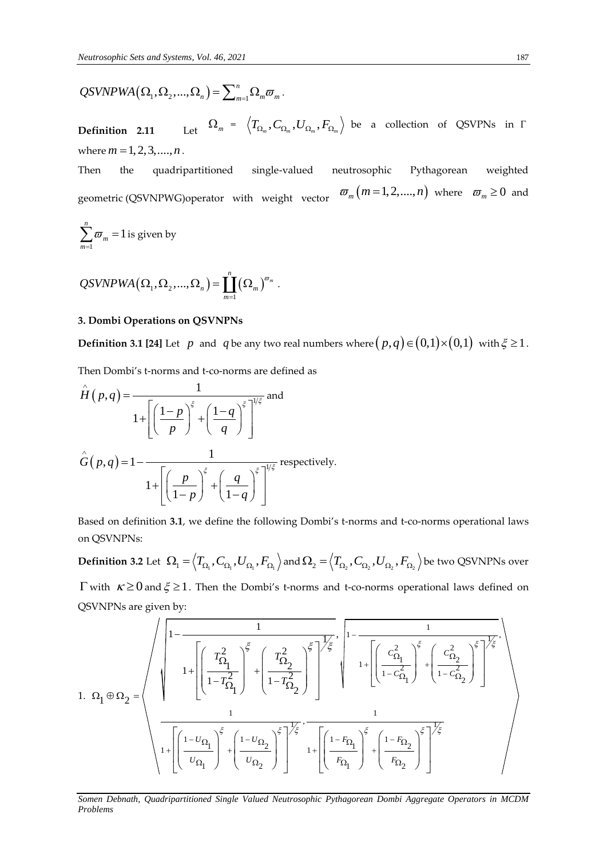$$
QSVNPWA(\Omega_1,\Omega_2,...,\Omega_n)=\sum\nolimits_{m=1}^n\Omega_m\varpi_m.
$$

**Definition** 2.11  $\Omega_m$  =  $\left\langle T_{\Omega_m},C_{\Omega_m},U_{\Omega_m},F_{\Omega_m}\right\rangle$  be a collection of QSVPNs in  $\Gamma$ where  $m = 1, 2, 3, \dots, n$ .

Then the quadripartitioned single-valued neutrosophic Pythagorean weighted geometric (QSVNPWG)operator with weight vector  $\varpi_m(m=1,2,....,n)$  where  $\varpi_m \geq 0$  and

$$
\sum_{m=1}^{n} \varpi_m = 1
$$
 is given by

$$
QSVNPWA(\Omega_1,\Omega_2,...,\Omega_n)=\prod_{m=1}^n(\Omega_m)^{\sigma_m}.
$$

### **3. Dombi Operations on QSVNPNs**

**Definition 3.1 [24]** Let  $p$  and  $q$  be any two real numbers where  $(p,q) \in (0,1) \times (0,1)$  with  $\xi \ge 1$ .

Then Dombi's t-norms and t-co-norms are defined as

$$
\hat{H}(p,q) = \frac{1}{1 + \left[\left(\frac{1-p}{p}\right)^{\xi} + \left(\frac{1-q}{q}\right)^{\xi}\right]^{1/\xi}}
$$
 and  

$$
\hat{G}(p,q) = 1 - \frac{1}{1 + \left[\left(\frac{p}{1-p}\right)^{\xi} + \left(\frac{q}{1-q}\right)^{\xi}\right]^{1/\xi}}
$$
 respectively.

Based on definition **3.1**, we define the following Dombi's t-norms and t-co-norms operational laws on QSVNPNs:

 $\bf{Definition 3.2 \: Let \: \:}\Omega_{l}=\Big\langle T_{\Omega_{l}},C_{\Omega_{1}},U_{\Omega_{1}},F_{\Omega_{1}}\Big\rangle \text{ and } \Omega_{2}=\Big\langle T_{\Omega_{2}},C_{\Omega_{2}},U_{\Omega_{2}},F_{\Omega_{2}}\Big\rangle \text{ be two QSVNPNs over}$  $\Gamma$  with  $\kappa \geq 0$  and  $\xi \geq 1$ . Then the Dombi's t-norms and t-co-norms operational laws defined on QSVNPNs are given by:

QSVNPWA (Ω<sub>1</sub>, Ω<sub>2</sub>,..., Ω<sub>n</sub>) = 
$$
\sum_{n=1}^{n} Ω_{n}π_{n}
$$
  
\nDefinition 2.11 Let Ω<sub>n</sub> = { $T_{\alpha_{1}}$ ,  $C_{\alpha_{2}}$ ,  $U_{\alpha_{2}}$ ,  $F_{\alpha_{2}}$ } be a collection of QSVPNs in Γ  
\nwhere  $m = 1, 2, 3, ..., n$ .  
\nThen the quadripartitioned single-valued neutroscopic Pythagorean weighted  
\ngometric (OSVNPWG)operator with weight vector  $π_{m}(m=1, 2, ..., n)$  where  $π_{m} \ge 0$  and  
\n $\sum_{n=1}^{n} π_{n} = 1$  is given by  
\nQSVNPWA (Ω<sub>1</sub>, Ω<sub>2</sub>, ..., Ω<sub>n</sub>) =  $\prod_{n=1}^{n} (Ω_{n})^{π_{n}}$ .  
\n3. Dombi Operations on QSVNPNs  
\nDefinition 3.1 [24] Let *p* and *q* be any two real numbers where  $(p, q) ∈ (0, 1) × (0, 1)$  with  $\xi ≥ 1$ .  
\nThen Domhi's transforms and t-conorms are defined as  
\n $\hat{H}(p,q) = \frac{1}{1 + \left[\left(\frac{1-p}{p}\right)^{\xi} + \left(\frac{1-q}{q}\right)^{\xi}\right]^{n/2}}$  respectively.  
\n $\hat{G}(p,q) = 1 - \frac{1}{1 + \left[\left(\frac{1-p}{1-p}\right)^{\xi} + \left(\frac{1-q}{1-q}\right)^{\xi}\right]^{n/2}}$  respectively.  
\nBased on definition 3.1, we define the following Dombi's trans and t-co-norms operational laws  
\non QSVNPNs:  
\nDefinition 3.2 Let Ω<sub>1</sub> =  $\left(T_{\alpha_1}, C_{\alpha_1}, U_{\alpha_1}, F_{\alpha_1}\right)$  and Ω<sub>2</sub> =  $\left(T_{\alpha_1}, C_{\alpha_1}, U_{\alpha_2}, F_{\alpha_2}\right)$  be two QSVNPNs over  
\n $\Gamma$  with  $\kappa ≥ 0$  and  $\xi ≥ 1$ . Then the Dombi's thorms and t-co-norms operational laws defined on  
\nQSVNPNs are given by:  
\n1. Ω

*Somen Debnath, Quadripartitioned Single Valued Neutrosophic Pythagorean Dombi Aggregate Operators in MCDM*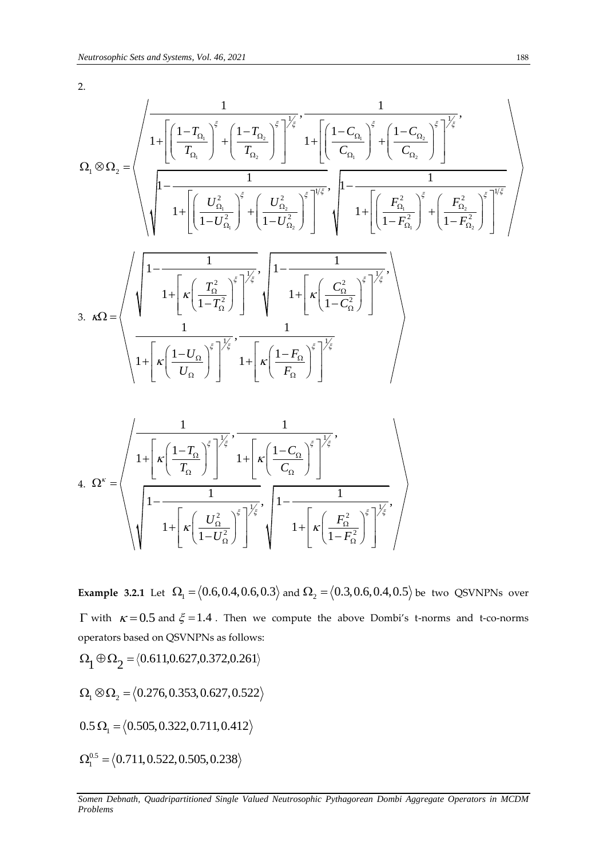2.

$$
N_{\text{e}} = \frac{N_{\text{e}} \times N_{\text{e}} \times N_{\text{e}} \times N_{\text{e}} \times N_{\text{e}} \times N_{\text{e}} \times N_{\text{e}} \times N_{\text{e}}}{Q_{\text{e}}} = \frac{\sqrt{\frac{1}{1 + \left[\left(\frac{1 - T_{\Omega_{\text{e}}}}{T_{\Omega_{\text{e}}}}\right)^{\varepsilon} + \left(\frac{1 - T_{\Omega_{\text{e}}}}{T_{\Omega_{\text{e}}}}\right)^{\varepsilon}\right]^{\frac{1}{2}\varepsilon} \cdot \frac{1}{1 + \left[\left(\frac{1 - C_{\Omega_{\text{e}}}}{C_{\Omega_{\text{e}}}}\right)^{\varepsilon} + \left(\frac{1 - C_{\Omega_{\text{e}}}}{C_{\Omega_{\text{e}}}}\right)^{\varepsilon}\right]^{\frac{1}{2}\varepsilon}}}{1 + \left[\left(\frac{U_{\Omega_{\text{e}}}^2}{1 - U_{\Omega_{\text{e}}}^2}\right)^{\varepsilon} + \left(\frac{U_{\Omega_{\text{e}}}^2}{1 - U_{\Omega_{\text{e}}}^2}\right)^{\varepsilon}\right]^{\frac{1}{2}\varepsilon}} + \frac{1}{1 + \left[\left(\frac{F_{\Omega_{\text{e}}}^2}{1 - F_{\Omega_{\text{e}}}^2}\right)^{\varepsilon}\right]^{\frac{1}{2}\varepsilon}}}{1 + \left[\left(\frac{1 - \frac{1}{1 - U_{\Omega_{\text{e}}}^2}{1 - U_{\Omega_{\text{e}}}^2}\right)^{\varepsilon}\right]^{\frac{1}{2}\varepsilon}}},\n\frac{\sqrt{\frac{1}{1 - \left(\frac{1}{1 - U_{\Omega_{\text{e}}}}\right)^{\varepsilon}}\left(\frac{1}{1 - F_{\Omega_{\text{e}}}^2}\right)^{\frac{1}{2}\varepsilon}}}{1 + \left[\left(\frac{1 - U_{\Omega_{\text{e}}}}{U_{\Omega}}\right)^{\varepsilon}\right]^{\frac{1}{2}\varepsilon}}},\n\frac{\sqrt{\frac{1}{1 - \left(\frac{1}{1 - U_{\Omega_{\text{e}}}}\right)^{\varepsilon}}\left(\frac{1}{1 - F_{\Omega_{\text{e}}}}\right)^{\varepsilon}}}{1 + \left[\left(\frac{1 - U_{\Omega_{\text{e}}}}{U_{\Omega
$$

 $\frac{1}{2}$   $\sqrt{\frac{2}{5}}$   $\sqrt{\frac{1}{5}}$   $\sqrt{\frac{1}{1-\frac{1}{1-\frac{1}{1-\frac{1}{1-\frac{1}{1-\frac{1}{1-\frac{1}{1-\frac{1}{1-\frac{1}{1-\frac{1}{1-\frac{1}{1-\frac{1}{1-\frac{1}{1-\frac{1}{1-\frac{1}{1-\frac{1}{1-\frac{1}{1-\frac{1}{1-\frac{1}{1-\frac{1}{1-\frac{1}{1-\frac{1}{1-\frac{1}{1-\frac{1}{1-\frac{1}{1-\frac{1}{1-\frac{1}{1-\frac{1}{1-\frac{1}{1-\frac{1}{1-\frac{1$  $\frac{2}{2}$   $\left| \frac{2}{2} \right|^{\xi}$   $\left| \frac{1}{2} \right| \leq 1 + \left| \frac{F_{\Omega}^2}{1 - F_{\Omega}^2} \right|$  $\frac{1}{1+\left[\kappa\left(\frac{U_{\Omega}^{2}}{1-U_{\Omega}^{2}}\right)^{\xi}\right]^{1/\xi}},$  $\left[\frac{U_{\Omega}^2}{1-U_{\Omega}^2}\right]^{\xi}\right]^{\frac{1}{\xi}}, \left[\frac{1-\frac{1}{1+\left[\kappa\left(\frac{1}{1-\kappa}\right)\right]^{\frac{1}{\xi}}}}\right]^{\frac{1}{\xi}}$  $\frac{1}{\left|U_{\frac{\Omega}{2}}^2\right|^{\xi}}\left| \frac{1}{\sqrt{\frac{1}{\pi}}}\right|_0^{\xi}$  $\left(\frac{L_0^2}{U_{\Omega}^2}\right)^{\xi}$   $\left(\frac{L_0^2}{1+\kappa}\right)^{\frac{1}{\kappa}}$   $\left(\frac{F_{\Omega}^2}{1-F_{\Omega}}\right)^{\frac{1}{\kappa}}$  $\frac{1}{\kappa\left(\frac{U_{\Omega}^2}{1-U_{\Omega}^2}\right)^{\xi}}\left|1-\frac{1}{1+\left[\kappa\left(\frac{F_{\Omega}^2}{1-F_{\Omega}^2}\right)^{\xi}\right]^{\frac{1}{\xi}}}\right|,$  $\left[\frac{2}{\Omega}\right]^{\xi}$  $\left[\frac{1}{\alpha}\right]$   $\left[\sqrt{1+\left[\kappa\left(\frac{F_{\Omega}}{1-F_{\Omega}^2}\right)\right]} \right]$  $\frac{1}{\left| \kappa \left( \frac{U_\Omega^2}{1-U_\Omega^2} \right)^{\xi} \right|^{\frac{1}{\xi}}}, \left| 1 - \frac{1}{1 + \left[ \kappa \left( \frac{F_\Omega^2}{1-F_\Omega^2} \right)^{\xi} \right]^{\frac{1}{\xi}}}, \right|$ 

**Example 3.2.1** Let  $\Omega_1 = (0.6, 0.4, 0.6, 0.3)$  and  $\Omega_2 = (0.3, 0.6, 0.4, 0.5)$  be two QSVNPNs over  $\Gamma$  with  $\kappa = 0.5$  and  $\xi = 1.4$ . Then we compute the above Dombi's t-norms and t-co-norms

operators based on QSVNPNs as follows:  
\n
$$
\Omega_1 \oplus \Omega_2 = \langle 0.611, 0.627, 0.372, 0.261 \rangle
$$
\n
$$
\Omega_1 \otimes \Omega_2 = \langle 0.276, 0.353, 0.627, 0.522 \rangle
$$
\n
$$
0.5 \Omega_1 = \langle 0.505, 0.322, 0.711, 0.412 \rangle
$$
\n
$$
\Omega_1^{0.5} = \langle 0.711, 0.522, 0.505, 0.238 \rangle
$$

*Somen Debnath, Quadripartitioned Single Valued Neutrosophic Pythagorean Dombi Aggregate Operators in MCDM Problems*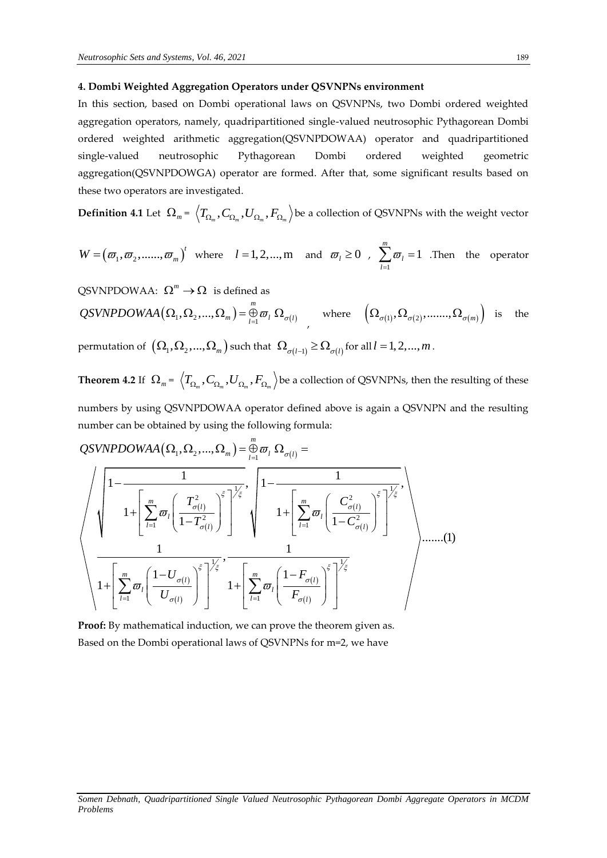### **4. Dombi Weighted Aggregation Operators under QSVNPNs environment**

In this section, based on Dombi operational laws on QSVNPNs, two Dombi ordered weighted aggregation operators, namely, quadripartitioned single-valued neutrosophic Pythagorean Dombi ordered weighted arithmetic aggregation(QSVNPDOWAA) operator and quadripartitioned single-valued neutrosophic Pythagorean Dombi ordered weighted geometric aggregation(QSVNPDOWGA) operator are formed. After that, some significant results based on these two operators are investigated.

 $\bf{Definition 4.1}$  Let  $\ \Omega_{_m}$  =  $\ \left\langle T_{\Omega_{_m}},C_{\Omega_{_m}},F_{\Omega_{_m}}\right\rangle$  be a collection of QSVNPNs with the weight vector

$$
W = (\varpi_1, \varpi_2, \dots, \varpi_m)^t \text{ where } l = 1, 2, \dots, m \text{ and } \varpi_l \ge 0, \sum_{l=1}^m \varpi_l = 1. \text{ Then the operator}
$$

QSVNPDOWAA: 
$$
\Omega^m \to \Omega
$$
 is defined as  
\n $QSVNPDOWAA(\Omega_1, \Omega_2, ..., \Omega_m) = \bigoplus_{l=1}^m \varpi_l \Omega_{\sigma(l)}$  where  $(\Omega_{\sigma(1)}, \Omega_{\sigma(2)}, ..., \Omega_{\sigma(m)})$  is the

permutation of  $\left( \Omega_1, \Omega_2, ..., \Omega_m \right)$  such that  $\left. \Omega_{\sigma(l-1)} \geq \Omega_{\sigma(l)} \right.$  for all  $l = 1,2,...,m$  .

**Theorem 4.2** If  $\ \Omega_{_m}$  =  $\ \left\langle T_{\Omega_{_m}},C_{\Omega_{_m}},U_{\Omega_{_m}},F_{\Omega_{_m}}\right\rangle$  be a collection of QSVNPNs, then the resulting of these

numbers by using QSVNPDOWAA operator defined above is again a QSVNPN and the resulting number can be obtained by using the following formula: QSVNPDOWAA operator de<br>
zained by using the following for<br>  $(\Omega_1, \Omega_2, ..., \Omega_m) = \bigoplus_{l=1}^{m} \varpi_l \Omega_{\sigma(l)}$ *mumbers by using QSVNPDOWAA operator defined above is number can be obtained by using the following formula:<br>*  $QSVNPDOWAA(\Omega_1, \Omega_2, ..., \Omega_m) = \bigoplus_{l=1}^{m} \varpi_l \Omega_{\sigma(l)} =$ 

 $(l)$  $(l)$  $\left( l\right)$  $\left( l\right)$  $\left( l\right)$  $\left( l\right)$  $\left( l\right)$  $\left( l\right)$  $\frac{1}{\sqrt{\xi}}$ ,  $\left[1-\frac{1}{\sqrt{1-\frac{1}{\sqrt{1-\frac{1}{\sqrt{1-\frac{1}{\sqrt{1-\frac{1}{\sqrt{1-\frac{1}{\sqrt{1-\frac{1}{\sqrt{1-\frac{1}{\sqrt{1-\frac{1}{\sqrt{1-\frac{1}{\sqrt{1-\frac{1}{\sqrt{1-\frac{1}{\sqrt{1-\frac{1}{\sqrt{1-\frac{1}{\sqrt{1-\frac{1}{\sqrt{1-\frac{1}{\sqrt{1-\frac{1}{\sqrt{1-\frac{1}{\sqrt{1-\frac{1}{\sqrt{1-\frac{1}{\sqrt{1-\frac{1}{\sqrt{1-\frac{1}{\sqrt{1-\frac{1$  $\frac{1}{2}$   $\left(1-\frac{1}{\sqrt{\frac{m}{2}}} \right)^{\frac{1}{2}}$   $\left(1-\frac{1}{\sqrt{\frac{m}{2}}} \right)^{\frac{1}{2}}$  $\left[\frac{1}{2}\varpi_l\Bigg(\frac{T_{\sigma(l)}^2}{1-T_{\sigma(l)}^2}\Bigg)^\xi\right]^{\gamma_\xi}\left[\left.\begin{array}{c} \ 1+\Bigg[\sum_{l=1}^m\varpi_l\Bigg(\frac{C_{\sigma(l)}^2}{1-C_\sigma^2}\Bigg) \end{array}\right]\right]$  $\frac{1}{\sqrt{\xi}}$ ,  $\frac{1}{\sqrt{\xi}}$  $\sum_{i=1}^{l} \varpi_{l} \left( \frac{1-U_{\sigma(l)}}{U_{\sigma(l)}} \right) \left( 1 + \left| \sum_{l=1}^{m} \right| \right)$  $\text{IPDOWAA}(\Omega_1, \Omega_2, ..., \Omega_m) = \bigoplus_{l=1}^m \varpi_l \, \Omega_{\sigma(l)} = \frac{1}{1 - \frac{1}{\prod_{l=1}^m \left(\sum_{j=1}^m \frac{1}{j^2} \right)^{\frac{1}{2} \cdot \frac{1}{\sqrt{5}}}}}, \quad \sqrt{1 - \frac{1}{\prod_{l=1}^m \left(\sum_{j=1}^m \frac{1}{j^2} \right)^{\frac{1}{2} \cdot \frac{1}{\sqrt{5}}}}}.$  $\frac{1}{1+\left[\sum_{l=1}^m\varpi_l\left(\frac{T_{\sigma(l)}^2}{1-T_{\sigma(l)}^2}\right)^{\xi}\right]^{1/\xi}},\quad \sqrt{1-\frac{1}{1-\frac{1}{1-\frac{1}{1-\frac{1}{1-\frac{1}{1-\frac{1}{1-\frac{1}{1-\frac{1}{1-\frac{1}{1-\frac{1}{1-\frac{1}{1-\frac{1}{1-\frac{1}{1-\frac{1}{1-\frac{1}{1-\frac{1}{1-\frac{1}{1-\frac{1}{1-\frac{1}{1-\frac{1}{1-\frac{1}{1-\frac{1}{1-\frac{1}{1-\frac{1}{1-\frac{1}{1-\frac{1}{1-\frac$  $\left( \frac{T_{\sigma(l)}^2}{1-T_{\sigma(l)}^2} \right)^{\xi} \left| \frac{1}{1} \right|^{1/2}$ ....... (1)  $\left(\frac{I_{\sigma(l)}}{1-T_{\sigma(l)}^2}\right)$   $\left(\begin{array}{c} 1+1 \ 1 \end{array}\right)$  $\left( \frac{1-U_{\sigma(l)}}{1+U_{\sigma(l)}} \right)^{\xi} \frac{1}{\xi}$ ,  $\frac{1}{1+\xi}$  $\frac{1}{1+\left[\sum_{l=1}^m\varpi_l\left(\frac{1-U_{\sigma(l)}}{U_{\sigma(l)}}\right)^{\xi}\right]^{1/\xi}},$ *m*  $\frac{1}{\sum_{i=1}^{m}\left(\frac{T_{\sigma(l)}^2}{T_{\sigma(l)}^2}\right)^{\xi}}\left|1-\frac{1}{1+\left[\sum_{i=1}^{m}\frac{1}{\sigma_{l}}\right]\left(\frac{C_{\sigma(l)}^2}{T_{\sigma(l)}}\right)^{\xi}}\right|$  $\frac{1}{l} \left( \frac{T_{\sigma(l)}^2}{1-T_{\sigma(l)}^2} \right)^{\xi} \left( \begin{array}{c} 1 + \left[ \sum_{l=1}^m \sigma_l \right] \end{array} \right)$  $\sum_{l=1}^m \varpi_l \left( \frac{T_{\sigma(l)}^2}{1-T_{\sigma(l)}^2} \right) \left[ \begin{array}{c} 1 + \left[ \sum_{l=1}^m \varpi_l \left( \frac{C_{\sigma(l)}^2}{1-C_{\sigma(l)}^2} \right) \right] \end{array} \right]$  $\frac{1}{\left(\sum_{j=1}^{m}\frac{1-U_{\sigma(l)}}{\sigma(l)}\right)^{\xi}}\Bigg|^{\frac{1}{\xi'}}\cdot\frac{1}{1+\left[\sum_{j=1}^{m}\frac{1}{\sigma(l)}\left(\frac{1-F_{\sigma(l)}}{\sigma(l)}\right)^{\xi(l)}\right]},$  $\frac{1}{l} \left( \frac{1-U_{\sigma(l)}}{U_{\sigma(l)}} \right)^{\xi} \begin{bmatrix} \frac{1}{l} \\ 0 \end{bmatrix}^{\xi} = 1 + \left[ \sum_{l=1}^{m} \varpi_{l(l)} \right]$  $\sum_{l=1}^{m} \varpi_l \left( \frac{1-U_{\sigma(l)}}{U_{\sigma(l)}} \right) \left[ 1 + \left[ \sum_{l=1}^{m} \varpi_l \left( \frac{1-F_{\sigma(l)}}{F_{\sigma(l)}} \right) \right] \right]$  $\frac{T_{\sigma(l)}^2}{T_{\sigma(l)}^2} \approx \frac{T_{\sigma(l)}^2}{T_{\sigma(l)}^2}$  $\left( \frac{ \frac{ \sigma (l)}{ \sigma (l)} }{ T_{\sigma (l)}^2 } \right)^{\xi} \left[ \frac{ \frac{1}{\sqrt{\xi}} }{ \sinh \left( \frac{ \frac{ \sigma (l)}{ \pi (l)} }{ 1 - C } \right)^{\xi} } \right]$  $\left(\frac{U_{\sigma(l)}}{1+\epsilon}\right)^{\xi}$ ,  $\frac{1}{1+\epsilon}$  $\left(\frac{-U_{\sigma(l)}}{U_{\sigma(l)}}\right)^{\xi}\left[\frac{1}{2}\right]^{\frac{1}{2}}\cdot1+\left[\sum_{l=1}^{m}\varpi_{l}\left(\frac{1}{F_{l}}\right)\right]$  $\frac{1}{\xi \gamma/\xi}, \left[1-\frac{1}{\left[\begin{array}{cc}m & \left(\begin{array}{cc}c^{2} & \gamma^{\xi}\end{array}\right]^{1/\xi}},\end{array}\right]\right]$  $\left(\frac{\sigma^{2}}{\sigma^{2}}\right)^{\xi}\right)^{\frac{1}{\xi}},\qquad \left(1-\frac{1}{\left(1+\sum_{i=1}^{m}\frac{1}{\sigma^{2}}\right)^{\frac{1}{\xi}}}\right)^{\frac{1}{\xi}}$  $\left[\begin{array}{c} \frac{1}{r^2} \\ \frac{1}{\sigma(l)} \end{array}\right] \left[\begin{array}{c} 1 + \left| \sum_{l=1}^m \varpi_l \left( \frac{C_{\sigma(l)}^2}{1 - C_{\sigma(l)}^2} \right) \right| \end{array}\right]$  $\frac{1}{\xi \sqrt{\xi}}, \frac{1}{\sqrt{\pi \left(1 - \frac{1}{\xi}\right)^{\xi}} \sqrt{\xi}}$  $\frac{1}{\sigma(l)}\left|\int_{\xi}^{l}\right|^{l_{\xi}'}$  $\left(\begin{array}{c} U_{\sigma(l)}\ \hline \sigma(l) \end{array}\right)$   $1 + \left(\begin{array}{c} \sum_{l=1}^{m} \varpi_l \left( \begin{array}{c} 1-F_{\sigma(l)}\ -F_{\sigma(l)} \end{array}\right) \end{array}\right)$  $\frac{1}{\sigma_{l} \left( \frac{T_{\sigma(l)}^2}{1 - T_{\sigma(l)}^2} \right)^{\xi}} \sqrt{1 - \frac{1}{1 + \left[ \sum_{l=1}^m \sigma_l \left( \frac{C_{\sigma(l)}^2}{1 - C_{\sigma(l)}^2} \right)^{\xi} } \right)^{\xi}}$  $\frac{1}{\left(\frac{1-U_{\sigma(l)}}{U_{\sigma(l)}}\right)^{\xi}}\Bigg]^{\frac{1}{\xi}},\qquad\qquad\frac{1}{1+\left[\sum\limits_{l=1}^{m}\varpi_{l}\left(\frac{1-F_{\sigma(l)}}{F_{\sigma(l)}}\right)\right]^{2}}$  $\sum_{j=1}^m \varpi_l \left( \frac{T_{\sigma(l)}^2}{1-T_{\sigma(l)}^2} \right)^2 \left| \left| \left| \left| \left| \left| \left| \left| \left| \left| \left| \frac{m}{2} \varpi_l \right| \frac{m}{2} \right| \right| \right| \right| \right| \right|^2 \right|$  $\sum_{j=1}^m \varpi_l \Bigg(\frac{1-U_{\sigma(l)}}{U_{\sigma(l)}}\Bigg)^2 \Bigg[ 1+ \Bigg| \sum_{l=1}^m \varpi_l \Bigg(\frac{1}{1-\varepsilon_l}\Bigg)^2 \Bigg]$ PDOWAA $(\Omega_1, \Omega_2, ..., \Omega_m) = \bigoplus_{l=1}^m \varpi_l \Omega_{\sigma(l)} =$  $\frac{1}{\sqrt{\frac{1}{\sum_{l=1}^{m} \varpi_{l}} \left( \frac{T_{\sigma(l)}^{2}}{1 - T_{\sigma(l)}^{2}} \right)^{\xi}}}}$ <br> $+\left[\sum_{l=1}^{m} \varpi_{l} \left( \frac{T_{\sigma(l)}^{2}}{1 - T_{\sigma(l)}^{2}} \right)^{\xi} \right]^{1/\xi}$  $\sqrt{\left[\frac{m}{\sum_{l=1}^{m} \varpi_l \left(\frac{T_{\sigma(l)}^2}{1-T_{\sigma(l)}^2}\right)^{\xi}\right]^{1/2}}}, \sqrt{1+\left[\sum_{l=1}^{m} \varpi_l \left(\frac{C_{\sigma(l)}^2}{1-C_{\sigma(l)}^2}\right)^{\xi}\right]^{1/2}},$  $\frac{\left[ \begin{array}{ccc} l^{2} & \left( 1 - I_{\sigma(l)} \right) \end{array} \right] \left[ \begin{array}{ccc} & & & & \\ & & & & \\ & & & & 1 \\ \end{array} \right]}{\left[ \begin{array}{ccc} \frac{1}{l^{2}} & \left( 1 - C_{\sigma(l)} \right) \end{array} \right] \left[ \begin{array}{ccc} \frac{1}{l^{2}} & \left( 1 - C_{\sigma(l)} \right) \end{array} \right]} \right] \left[ \begin{array}{ccc} \frac{1}{l^{2}} & \left( 1 - C_{\sigma(l)} \right) \end{array} \right] \left[ \begin{array}{c} \frac{$   $\overline{A}A(\Omega_1, \Omega_2, ..., \Omega_m) = \bigoplus_{l=1}^{\infty} \overline{\omega}_l \Omega_{\sigma(l)} = \frac{1}{\left( \frac{T_{\sigma(l)}^2}{1 - T_{\sigma(l)}^2} \right)^{\frac{r}{\zeta}}}, \left[ 1 - \frac{1}{1 + \left[ \sum_{l=1}^m \overline{\omega}_l \left( \frac{C_{\sigma(l)}^2}{1 - C_{\sigma(l)}^2} \right)^{\frac{r}{\zeta}} \right]^{\frac{1}{r}}}$  $\left[\frac{1}{\left(1-\frac{1}{\sigma(l)}\right)}\right] \left[\frac{1}{\left(1-\frac{1}{\sigma(l)}\right)}\right]$ 

**Proof:** By mathematical induction, we can prove the theorem given as. Based on the Dombi operational laws of QSVNPNs for m=2, we have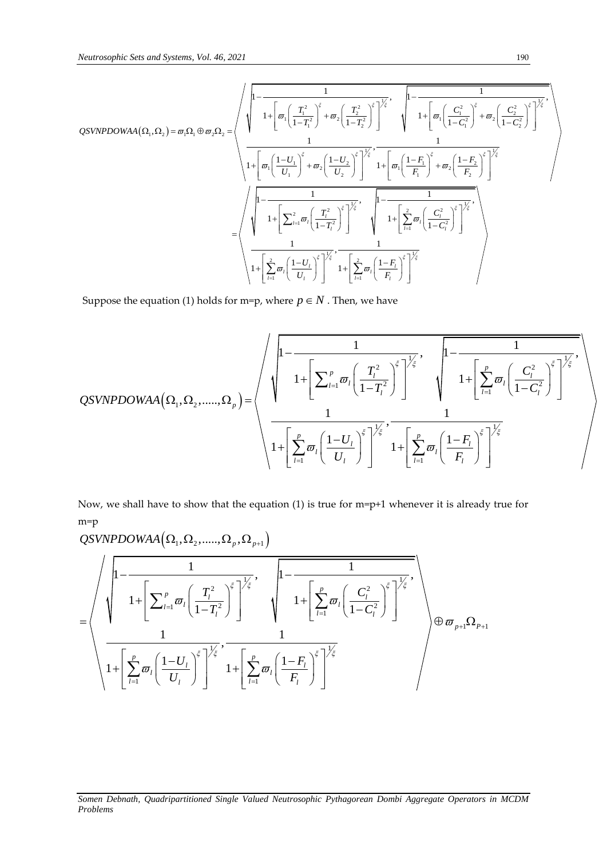Neutrosophic Sets and Systems, Vol. 46, 2021

\n190

\nQSVNPOWAA 
$$
(\Omega_1, \Omega_2) = \sigma_1 \Omega_1 \oplus \sigma_2 \Omega_2 =
$$

\n
$$
\sqrt{\frac{1 - \frac{1}{1 + \left[\sigma_1 \left(\frac{T_1^2}{1 - T_1^2}\right)^{\frac{2}{3}} + \sigma_2 \left(\frac{T_2^2}{1 - T_2^2}\right)^{\frac{2}{3}}\right]^{\frac{1}{2}} \cdot \sqrt{\frac{1 - \frac{1}{1 + \left[\sigma_1 \left(\frac{C_1^2}{1 - C_1^2}\right)^{\frac{2}{3}} + \sigma_2 \left(\frac{C_2^2}{1 - C_2^2}\right)^{\frac{2}{3}}\right]^{\frac{1}{2}}}{1 + \left[\sigma_1 \left(\frac{1 - U_1}{U_1}\right)^{\frac{2}{3}} + \sigma_2 \left(\frac{1 - U_2}{U_1}\right)^{\frac{2}{3}}\right]^{\frac{1}{2}} \cdot \sqrt{\frac{1 - \frac{1}{1 + \left[\sigma_1 \left(\frac{1 - F_1}{F_1}\right)^{\frac{2}{3}} + \sigma_2 \left(\frac{1 - F_2}{F_2}\right)^{\frac{2}{3}}\right]^{\frac{1}{2}}}{1 + \left[\sigma_1 \left(\frac{1 - F_1}{F_1}\right)^{\frac{2}{3}} + \sigma_2 \left(\frac{1 - F_2}{F_2}\right)^{\frac{2}{3}}\right]^{\frac{1}{2}}}}
$$
\n
$$
= \sqrt{\frac{1 - \frac{1}{1 + \left[\sum_{i=1}^{2} \sigma_i \left(\frac{T_i^2}{1 - T_i^2}\right)^{\frac{2}{3}}\right]^{\frac{1}{2}} \cdot \sqrt{\frac{1 - \frac{1}{1 + \left[\sum_{i=1}^{2} \sigma_i \left(\frac{C_i^2}{1 - C_i^2}\right)^{\frac{2}{3}}\right]^{\frac{1}{2}}}{1 + \left[\sum_{i=1}^{2} \sigma_i \left(\frac{1 - F_1}{U_1}\right)^{\frac{2}{3}}\right]^{\frac{1}{2}}}}
$$

Suppose the equation (1) holds for m=p, where  $p \in N$ . Then, we have

Suppose the equation (1) holds for m=p, where 
$$
p \in N
$$
. Then, we have  
\n
$$
QSVNPOOWAA(\Omega_1, \Omega_2, \dots, \Omega_p) = \left\langle \sqrt{\frac{1 - \frac{1}{1 - \left[\sum_{l=1}^p \varpi_l \left(\frac{T_l^2}{1 - T_l^2}\right)^{\xi}\right]^{\frac{1}{\xi}}}{1 + \left[\sum_{l=1}^p \varpi_l \left(\frac{T_l^2}{1 - T_l^2}\right)^{\xi}\right]^{\frac{1}{\xi}}}}, \frac{1}{1 + \left[\sum_{l=1}^p \varpi_l \left(\frac{C_l^2}{1 - C_l^2}\right)^{\xi}\right]^{\frac{1}{\xi}}}} \right\rangle
$$

Now, we shall have to show that the equation (1) is true for m=p+1 whenever it is already true for m=p e to show that the equation (1) i $\Omega_1, \Omega_2, ....., \Omega_p, \Omega_{p+1}$ 

$$
\begin{split} &\xrightarrow{\mathbf{D}}\mathcal{Q} \text{SVP} \text{DOWAA}\left(\Omega_{1},\Omega_{2},....,\Omega_{p},\Omega_{p+1}\right)\\ =&\sqrt{\frac{1}{1+\left[\sum_{l=1}^{p}\varpi_{l}\left(\frac{T_{l}^{2}}{1-T_{l}^{2}}\right)^{\xi}\right]^{\frac{1}{\xi}}},\quad\sqrt{1-\frac{1}{1+\left[\sum_{l=1}^{p}\varpi_{l}\left(\frac{C_{l}^{2}}{1-C_{l}^{2}}\right)^{\xi}\right]^{\frac{1}{\xi}}}},\\ &\frac{1}{1+\left[\sum_{l=1}^{p}\varpi_{l}\left(\frac{1-U_{l}}{U_{l}}\right)^{\xi}\right]^{\frac{1}{\xi}}},\frac{1}{1+\left[\sum_{l=1}^{p}\varpi_{l}\left(\frac{1-F_{l}}{F_{l}}\right)^{\xi}\right]^{\frac{1}{\xi}}}\right)\oplus\varpi_{p+1}\Omega_{p+1}} \end{split}
$$

### *Somen Debnath, Quadripartitioned Single Valued Neutrosophic Pythagorean Dombi Aggregate Operators in MCDM Problems*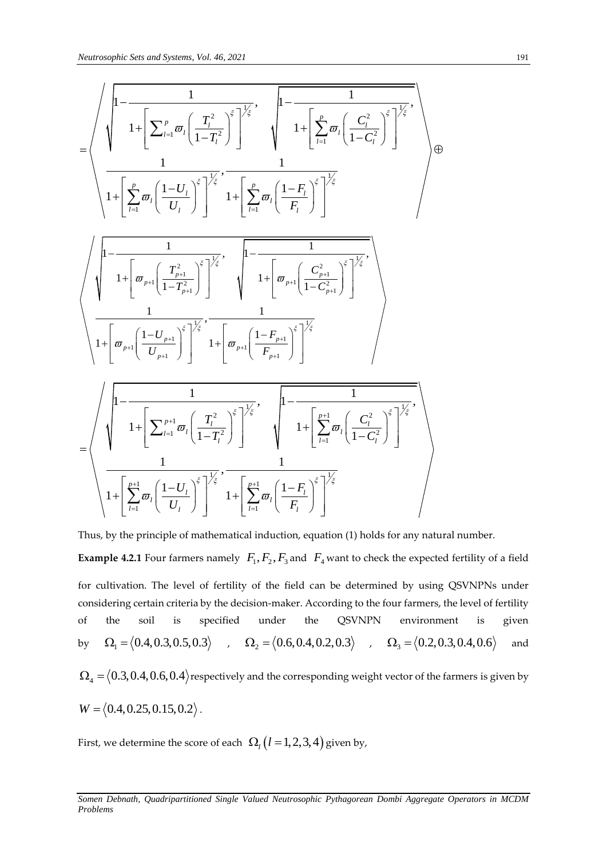$$
\frac{Neutrosophic Sets\ and Systems, Vol. 46, 2021}{1+\left[\sum_{l=1}^{p} \varpi_{l} \left(\frac{T_{l}^{2}}{1-T_{l}^{2}}\right)^{\xi}\right]^{\frac{1}{\xi}}}, \frac{1-\frac{1}{1+\left[\sum_{l=1}^{p} \varpi_{l} \left(\frac{C_{l}^{2}}{1-C_{l}^{2}}\right)^{\xi}\right]^{\frac{1}{\xi}}}}{1+\left[\sum_{l=1}^{p} \varpi_{l} \left(\frac{1-U_{l}}{U_{l}}\right)^{\xi}\right]^{\frac{1}{\xi}}}, \frac{1}{1+\left[\sum_{l=1}^{p} \varpi_{l} \left(\frac{1-F_{l}}{F_{l}}\right)^{\xi}\right]^{\frac{1}{\xi}}}} \right) \oplus \frac{1}{1+\left[\varpi_{p+1} \left(\frac{T_{p+1}^{2}}{1-T_{p+1}^{2}}\right)^{\xi}\right]^{\frac{1}{\xi}}}, \frac{1}{\left[1-\frac{1}{1+\left[\varpi_{p+1} \left(\frac{C_{p+1}^{2}}{1-C_{p+1}^{2}}\right)^{\xi}\right]^{\frac{1}{\xi}}}} \right]
$$
\n
$$
\sqrt{1+\left[\varpi_{p+1} \left(\frac{1-U_{p+1}}{U_{p+1}}\right)^{\xi}\right]^{\frac{1}{\xi}}}, \frac{1}{1+\left[\varpi_{p+1} \left(\frac{1-F_{p+1}}{F_{p+1}}\right)^{\xi}\right]^{\frac{1}{\xi}}}} \right]
$$
\n
$$
= \sqrt{\frac{1}{1+\left[\sum_{l=1}^{p+1} \varpi_{l} \left(\frac{T_{l}^{2}}{1-T_{l}^{2}}\right)^{\xi}\right]^{\frac{1}{\xi}}}, \frac{1}{1+\left[\sum_{l=1}^{p+1} \varpi_{l} \left(\frac{C_{l}^{2}}{1-C_{l}^{2}}\right)^{\xi}\right]^{\frac{1}{\xi}}}} \frac{1}{1+\left[\sum_{l=1}^{p+1} \varpi_{l} \left(\frac{C_{l}^{2}}{1-C_{l}^{2}}\right)^{\xi}\right]^{\frac{1}{\xi}}}} \right]
$$

Thus, by the principle of mathematical induction, equation (1) holds for any natural number. **Example 4.2.1** Four farmers namely  $F_1, F_2, F_3$  and  $F_4$  want to check the expected fertility of a field for cultivation. The level of fertility of the field can be determined by using QSVNPNs under considering certain criteria by the decision-maker. According to the four farmers, the level of fertility of the soil is specified under the QSVNPN environment is given by  $\Omega_1 = \langle 0.4, 0.3, 0.5, 0.3 \rangle$  ,  $\Omega_2 = \langle 0.6, 0.4, 0.2, 0.3 \rangle$  ,  $\Omega_3 = \langle 0.2, 0.3, 0.4, 0.6 \rangle$ and  $\Omega^{}_4$  =  $\big\langle 0.3, 0.4, 0.6, 0.4 \big\rangle$ respectively and the corresponding weight vector of the farmers is given by  $W = \langle 0.4, 0.25, 0.15, 0.2 \rangle$ .

First, we determine the score of each  $\ \Omega_{_l}\big(l\!=\!1,2,3,4\big)$  given by,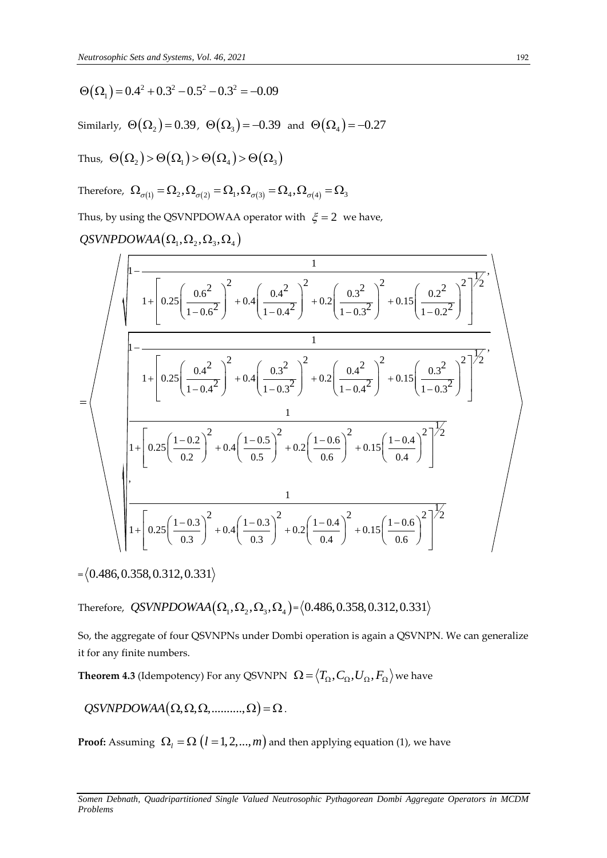$\Theta(\Omega_1) = 0.4^2 + 0.3^2 - 0.5^2 - 0.3^2 = -0.09$ 

Similarly,  $\Theta(\Omega_{2})$  = 0.39,  $\Theta(\Omega_{3})$  = -0.39 and  $\Theta(\Omega_{4})$  = -0.27

Thus,  $\Theta(\Omega_2) \!>\! \Theta(\Omega_1) \!>\! \Theta(\Omega_4) \!>\! \Theta(\Omega_3)$ 

Therefore, 
$$
\Omega_{\sigma(1)} = \Omega_2
$$
,  $\Omega_{\sigma(2)} = \Omega_1$ ,  $\Omega_{\sigma(3)} = \Omega_4$ ,  $\Omega_{\sigma(4)} = \Omega_3$ 

Therefore,  $\Omega_{\sigma(1)} = \Omega_2, \Omega_{\sigma(2)} = \Omega_1, \Omega_{\sigma(3)} = \Omega_4, \Omega_{\sigma(4)} = \Omega_3$ <br>Thus, by using the QSVNPDOWAA operator with  $\xi = 2$  we have,<br>*QSVNPDOWAA* ( $\Omega_1, \Omega_2, \Omega_3, \Omega_4$ )

$$
\mathcal{Q} \mathcal{S} \mathcal{V} \mathcal{N} \mathcal{P} \mathcal{D} \mathcal{O} \mathcal{W} \mathcal{A} \mathcal{A} \left( \Omega_1, \Omega_2, \Omega_3, \Omega_4 \right)
$$

Θ (Ω<sub>1</sub>) = 0.4<sup>2</sup> + 0.3<sup>2</sup> - 0.5<sup>2</sup> = -0.09  
\nSimilarly, Θ(Ω<sub>2</sub>) = 0.39, Θ(Ω<sub>3</sub>) = -0.39 and Θ(Ω<sub>4</sub>) = -0.27  
\nThus, Θ(Ω<sub>2</sub>) > Θ(Ω<sub>4</sub>) > Θ(Ω<sub>4</sub>) = 0.39 and Θ(Ω<sub>4</sub>) = -0.27  
\nThus, Θ(Ω<sub>2</sub>) > Θ(Ω<sub>4</sub>) > Θ(Ω<sub>4</sub>) = Ω<sub>3</sub>, Ω<sub>σ(4)</sub> = Ω<sub>3</sub>  
\nThus, by using the QSVNPOOWAA operator with ξ = 2 we have,  
\nQSVNPOOWAA(Ω<sub>1</sub>, Ω<sub>2</sub>, Ω<sub>3</sub>, Ω<sub>4</sub>)  
\n
$$
\sqrt{\frac{1}{1 + \left[ 0.25 \left( \frac{0.6^2}{1 - 0.6^2} \right)^2 + 0.4 \left( \frac{0.4^2}{1 - 0.4^2} \right)^2 + 0.2 \left( \frac{0.3^2}{1 - 0.2^2} \right)^2 + 0.15 \left( \frac{0.2^2}{1 - 0.2^2} \right)^2 \right)^{1/2}}
$$
\n
$$
+ \left[ 0.25 \left( \frac{0.4^2}{1 - 0.4^2} \right)^2 + 0.4 \left( \frac{0.3^2}{1 - 0.3^2} \right)^2 + 0.2 \left( \frac{0.4^2}{1 - 0.4^2} \right)^2 + 0.15 \left( \frac{0.3^2}{1 - 0.2^2} \right)^2 \right)^{1/2}
$$
\n
$$
+ \left[ 0.25 \left( \frac{1 - 0.2}{0.2} \right)^2 + 0.4 \left( \frac{1 - 0.5}{0.5} \right)^2 + 0.2 \left( \frac{1 - 0.6}{0.6} \right)^2 + 0.15 \left( \frac{1 - 0.4}{0.4} \right)^2 \right]^{1/2}
$$
\n
$$
= \left\langle 0.486, 0.358,
$$

 $=\langle 0.486, 0.358, 0.312, 0.331 \rangle$ 

Therefore,  $\overline{Q}S VNPDOWAA(\Omega_1,\Omega_2,\Omega_3,\Omega_4)$ = $\langle 0.486, 0.358, 0.312, 0.331$ 

So, the aggregate of four QSVNPNs under Dombi operation is again a QSVNPN. We can generalize it for any finite numbers.

**Theorem 4.3** (Idempotency) For any QSVNPN  $\ \Omega$  =  $\left\langle T_\Omega, C_\Omega, U_\Omega, F_\Omega \right\rangle$  we have

 $OSVNPDOWNAA(\Omega, \Omega, \Omega, \ldots, \Omega) = \Omega$ .

**Proof:** Assuming  $\ \Omega_l = \Omega\ \big(l = 1,2,...,m\big)$  and then applying equation (1), we have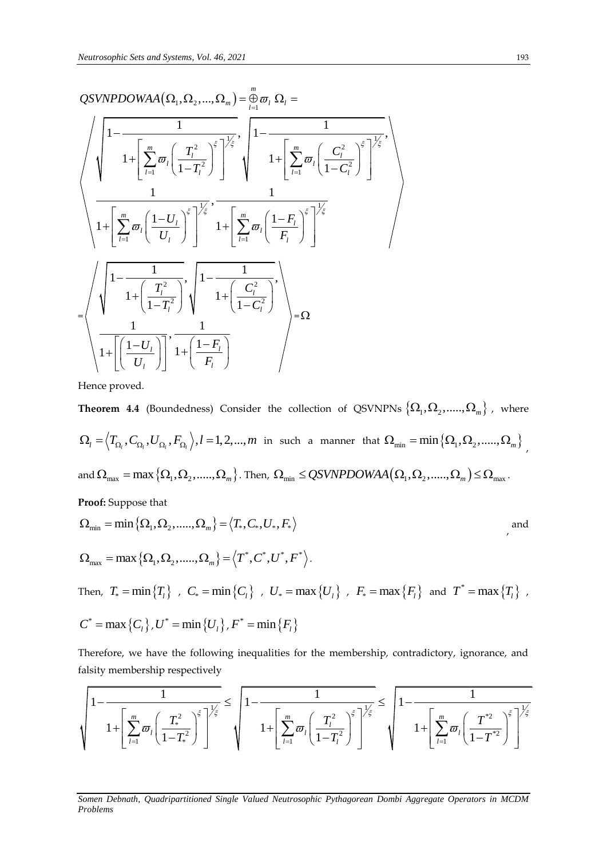$$
\underbrace{QSVNPOOWAA(\Omega_{1},\Omega_{2},...,\Omega_{m})}_{1} = \underbrace{\frac{m}{\theta}}_{\begin{subarray}{l}l=1\\l\end{subarray}} \underbrace{\Omega_{l}}_{1} = \underbrace{\frac{1}{\left(1-\frac{1}{\left(1-\frac{1}{\left(1-\frac{1}{\left(1-\frac{1}{\left(1-\frac{1}{\left(1-\frac{1}{\left(1-\frac{1}{\left(1-\frac{1}{\left(1-\frac{1}{\left(1-\frac{1}{\left(1-\frac{1}{\left(1-\frac{1}{\left(1-\frac{1}{\left(1-\frac{1}{\left(1-\frac{1}{\left(1-\frac{1}{\left(1-\frac{1}{\left(1-\frac{1}{\left(1-\frac{1}{\left(1-\frac{1}{\left(1-\frac{1}{\left(1-\frac{1}{\left(1-\frac{1}{\left(1-\frac{1}{\left(1-\frac{1}{\left(1-\frac{1}{\left(1-\frac{1}{\left(1-\frac{1}{\left(1-\frac{1}{\left(1-\frac{1}{\left(1-\frac{1}{\left(1-\frac{1}{\left(1-\frac{1}{\left(1-\frac{1}{\left(1-\frac{1}{\left(1-\frac{1}{\left(1-\frac{1}{\left(1-\frac{1}{\left(1-\frac{1}{\left(1-\frac{1}{\left(1-\frac{1}{\left(1-\frac{1}{\left(1-\frac{1}{\left(1-\frac{1}{\left(1-\frac{1}{\left(1-\frac{1}{\left(1-\frac{1}{\left(1-\frac{1}{\left(1-\frac{1}{\left(1-\frac{1}{\left(1-\frac{1}{\left(1-\frac{1}{\left(1-\frac{1}{\left(1-\frac{1}{\left(1-\frac{1}{\left(1-\frac{1}{\left(1-\frac{1}{\left(1-\frac{1}{\left(1-\frac{1}{\left(1-\frac{1}{\left(1-\frac{1}{\left(1-\frac{1}{\left(1-\frac{1}{\left(1-\frac{1}{\left(1-\frac{1}{\left(1-\frac{1}{\left(1-\frac{1}{\left(1-\frac{1}{\left(1-\frac{1}{\left(1-\frac{1}{\left(1-\frac{1}{\left(1-\frac{1}{\left(1-\frac{1}{\left(1-\frac{1}{\left(1-\frac{1}{\left(1
$$

Hence proved.

**Theorem 4.4** (Boundedness) Consider the collection of QSVNPNs  $\left\{\Omega_1, \Omega_2,.....,\Omega_m\right\}$  , where  $\Omega_l = \left\langle T_{\Omega_l}, C_{\Omega_l}, U_{\Omega_l}, F_{\Omega_l}\right\rangle, l = 1, 2, ..., m$  in such a manner that  $\Omega_{\min} = \min\left\{\Omega_1, \Omega_2, ....., \Omega_m\right\}$ and  $\Omega_{\text{max}} = \max{\{\Omega_1, \Omega_2, \dots, \Omega_m\}}$ . Then,  $\Omega_{\text{min}} \le QSWNPDOWAA(\Omega_1, \Omega_2, \dots, \Omega_m) \le \Omega_{\text{max}}$ .

Proof: Suppose that  
\n
$$
\Omega_{\min} = \min \{ \Omega_1, \Omega_2, \dots, \Omega_m \} = \langle T_*, C_*, U_*, F_* \rangle
$$
\nand  
\n
$$
\Omega_{\max} = \max \{ \Omega_1, \Omega_2, \dots, \Omega_m \} = \langle T^*, C^*, U^*, F^* \rangle.
$$
\nThus,  $T = \min(T)$ ,  $C = \min(C)$ ,  $U = \max(U)$ ,  $F = \max(E)$ , and  $T^* = \max(T)$ .

 $\text{Then,} \hspace{0.2cm} T_* = \min \big\{ T_{l} \big\} \hspace{0.2cm} , \hspace{0.2cm} C_* = \min \big\{ C_{l} \big\} \hspace{0.2cm} , \hspace{0.2cm} U_* = \max \big\{ U_{l} \big\} \hspace{0.2cm} , \hspace{0.2cm} F_* = \max \big\{ F_{l} \big\} \hspace{0.2cm} \text{and} \hspace{0.2cm} T^* = \max \big\{ T_{l} \big\} \hspace{0.2cm} ,$ 

$$
C^* = \max\{C_l\}, U^* = \min\{U_l\}, F^* = \min\{F_l\}
$$

Therefore, we have the following inequalities for the membership, contradictory, ignorance, and falsity membership respectively

Therefore, we have the following inequalities for the membership, contradictory, ignorance, and  
fallsity membership respectively\n
$$
\left\{\n\begin{array}{l}\n1 - \frac{1}{\left(1 - \frac{1}{\left(1 - T_*^2\right)^{\xi}\right)^{\frac{1}{\xi}}}}\n\end{array}\n\right\} = \n\left\{\n\begin{array}{l}\n1 - \frac{1}{\left(1 - \frac{1}{\left(1 - T_*^2\right)^{\xi}\right)^{\frac{1}{\xi}}}}\n\end{array}\n\right\} = \n\left\{\n\begin{array}{l}\n1 - \frac{1}{\left(1 - T_*^2\right)^{\xi}}\n\end{array}\n\right\} = \n\left\{\n\begin{array}{l}\n1 - \frac{1}{\left(1 - T_*^2\right)^{\xi}}\n\end{array}\n\right\} = \n\left\{\n\begin{array}{l}\n\frac{1}{\left(1 - T_*^2\right)^{\xi}}\n\end{array}\n\right\} = \n\left\{\n\begin{array}{l}\n\frac{1}{\left(1 - T_*^2\right)^{\xi}}\n\end{array}\n\right\} = \n\left\{\n\begin{array}{l}\n\frac{1}{\left(1 - T_*^2\right)^{\xi}}\n\end{array}\n\right\} = \n\left\{\n\begin{array}{l}\n\frac{1}{\left(1 - T_*^2\right)^{\xi}}\n\end{array}\n\right\} = \n\left\{\n\begin{array}{l}\n\frac{1}{\left(1 - T_*^2\right)^{\xi}}\n\end{array}\n\right\} = \n\left\{\n\begin{array}{l}\n\frac{1}{\left(1 - T_*^2\right)^{\xi}}\n\end{array}\n\right\} = \n\left\{\n\begin{array}{l}\n\frac{1}{\left(1 - T_*^2\right)^{\xi}}\n\end{array}\n\right\} = \n\left\{\n\begin{array}{l}\n\frac{1}{\left(1 - T_*^2\right)^{\xi}}\n\end{array}\n\right\} = \n\left\{\n\begin{array}{l}\n\frac{1}{\left(1 - T_*^2\right)^{\xi}}\n\end{array}\n\right\} = \n\left\{\n\begin{array}{l}\n\frac{1}{\left(1 - T_*^2\right)^{\xi}}\n\end{array}\n\right\} = \n\left\{\n\begin{array}{l}\n\frac
$$

*Somen Debnath, Quadripartitioned Single Valued Neutrosophic Pythagorean Dombi Aggregate Operators in MCDM Problems*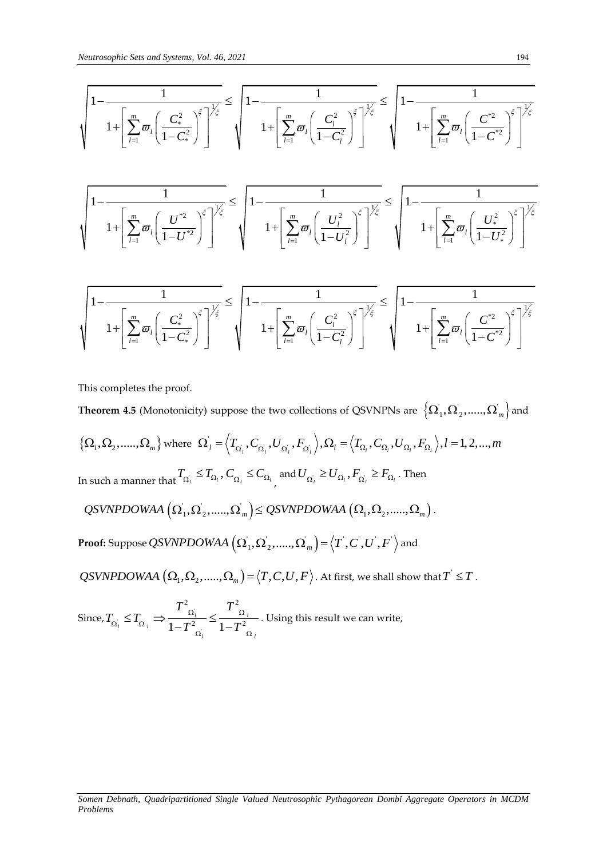$$
\sqrt{\frac{1 - \frac{1}{1 + \left[\sum_{l=1}^{m} \varpi_{l} \left(\frac{C_{*}^{2}}{1 - C_{*}^{2}}\right)^{\xi}\right]^{\frac{1}{\xi}} \le \sqrt{1 - \frac{1}{1 + \left[\sum_{l=1}^{m} \varpi_{l} \left(\frac{C_{l}^{2}}{1 - C_{*}^{2}}\right)^{\xi}\right]^{\frac{1}{\xi}} \le \sqrt{1 - \frac{1}{1 + \left[\sum_{l=1}^{m} \varpi_{l} \left(\frac{C_{l}^{2}}{1 - C_{l}^{2}}\right)^{\xi}\right]^{\frac{1}{\xi}} \le \sqrt{1 - \frac{1}{1 - \left[\sum_{l=1}^{m} \varpi_{l} \left(\frac{C_{l}^{2}}{1 - C_{l}^{2}}\right)^{\xi}\right]^{\frac{1}{\xi}}}}}
$$

$$
\left\{\n\begin{array}{c}\n1 - \frac{1}{\left[1 - U^* \right]} \left(1 - U^* \right) & \sqrt{1 - \frac{1}{\left[1 - U^* \right]} \left(1 - U^* \right)}\n\end{array}\n\right\}
$$
\n
$$
\left\{\n\begin{array}{c}\n1 - \frac{1}{\left[1 - U^* \right]} \left(1 - U^* \right) & \sqrt{1 - \frac{1}{\left[1 - U^* \right]} \left(1 - U^* \right)}\n\end{array}\n\right\} = \n\left\{\n\begin{array}{c}\n1 - \frac{1}{\left[1 - U^* \right]} \left(1 - U^* \right) & \sqrt{1 - \frac{1}{\left[1 - U^* \right]} \left(1 - U^* \right)}\n\end{array}\n\right\} = \n\left\{\n\begin{array}{c}\n1 - \frac{1}{\left[1 - U^* \right]} \left(1 - U^* \right) & \sqrt{1 - \frac{1}{\left[1 - U^* \right]} \left(1 - U^* \right)}\n\end{array}\n\right\} = \n\left\{\n\begin{array}{c}\n1 - \frac{1}{\left[1 - U^* \right]} \left(1 - U^* \right) & \sqrt{1 - \frac{1}{\left[1 - U^* \right]} \left(1 - U^* \right)}\n\end{array}\n\right\}
$$

$$
\sqrt{\frac{1 - \frac{1}{1 + \left[\sum_{l=1}^{m} \varpi_l \left(\frac{C_{*}^2}{1 - C_{*}^2}\right)^{\xi}\right]^{\frac{1}{\xi}}}} \leq \sqrt{1 - \frac{1}{1 + \left[\sum_{l=1}^{m} \varpi_l \left(\frac{C_{*}^2}{1 - C_{*}^2}\right)^{\xi}\right]^{\frac{1}{\xi}}}} \leq \sqrt{1 - \frac{1}{1 + \left[\sum_{l=1}^{m} \varpi_l \left(\frac{C_{l}^2}{1 - C_{l}^2}\right)^{\xi}\right]^{\frac{1}{\xi}}}} \sqrt{1 + \left[\sum_{l=1}^{m} \varpi_l \left(\frac{C_{*}^2}{1 - C_{*}^2}\right)^{\xi}\right]^{\frac{1}{\xi}}}
$$

This completes the proof.

 $\sqrt{1-\left[\sum_{i=1}^{n}\sigma_{i}\left(\frac{C_{i}^{2}}{1-C_{i}^{2}}\right)^{2}\right]^{2}}\leq\sqrt{1-\frac{1}{1+\left[\sum_{i=1}^{n}\sigma_{i}\left(\frac{C_{i}^{2}}{1-C_{i}^{2}}\right)^{2}\right]^{2}}\leq\sqrt{1-\frac{1}{1+\left[\sum_{i=1}^{n}\sigma_{i}\left(\frac{C_{i}^{2}}{1-C_{i}^{2}}\right)^{2}\right]^{2}}\leq\sqrt{1-\frac{1}{1+\left[\sum_{i=1}^{n}\sigma_{i}\left(\frac{C_{i}^{2}}{1-C_{i}^{2}}$ **Theorem 4.5** (Monotonicity) suppose the two collections of QSVNPNs are  $\left\{\Omega_1, \Omega_2,.....,\Omega_m\right\}$  and  $\left\{\Omega_1,\Omega_2,......,\Omega_m\right\}$  where  $\Omega_1 = \left\langle T_{\Omega_1},C_{\Omega_1},U_{\Omega_1},F_{\Omega_2},\right\rangle$ y) suppose the two collections of QSVNPNs are  $\{\Omega_1, \Omega_2, \ldots, \Omega_n\}$ <br>  $\Omega'_l = \langle T_{\Omega_l}, C_{\Omega_l}, U_{\Omega_l}, F_{\Omega_l} \rangle, \Omega_l = \langle T_{\Omega_l}, C_{\Omega_l}, U_{\Omega_l}, F_{\Omega_l} \rangle, l = 1, 2, ..., m$ In such a manner that  $T_{\Omega_i} \leq T_{\Omega_i}$ ,  $C_{\Omega_i} \leq C_{\Omega_i}$ and  $U_{\Omega_i} \geq U_{\Omega_i}$  ,  $F_{\Omega_i} \geq F_{\Omega_i}$  . Then  $QSVNPDOWAA\left(\Omega_{1},\Omega_{2},\ldots,\Omega_{m}\right)\leq QSVNPDOWAA\left(\Omega_{1},\Omega_{2},\ldots,\Omega_{m}\right).$  $\textbf{Proof:} \text{ Suppose } \overline{\textbf{\textit{Q}S} \textbf{\textit{V}NP} \textbf{\textit{D}O} \textbf{\textit{W}} \textbf{\textit{A}}\textbf{\textit{A}}} \left( \Omega_1^{'}, \Omega_2^{'},.....,\Omega_m^{'}\right)\!=\!\left\langle T^{'},C^{'},U^{'},F^{'}\right\rangle \text{and}$  $\overline{QSVNPDOWAA}\left(\Omega_1,\Omega_2,......,\Omega_m\right)=\big\langle T,C,U,F\big\rangle.$  At first, we shall show that  $T^{'}$   $\le$   $T$  . 2  $T^2$ 

Since,  $T_{\Omega_i} \leq T_{\Omega_i} \Rightarrow \frac{1}{1 - T_{\Omega_i}^2}$  $\frac{1}{1-T_{\Omega_i}^2} \leq \frac{1}{1-T_{\Omega_i}^2}$  $\mathbf{L}_l = \mathbf{L}_{\Omega_l}$  $\frac{1}{l}$   $\frac{1}{l}$   $\frac{1}{l}$  $T^2_{\Omega_i}$  *T*  $T_{\Omega_i} \leq T$  $\frac{\alpha_i}{T_{\overline{\Omega}_i}^2} \leq \frac{T_{\overline{\Omega}_i}^2}{1-T_{\overline{\Omega}_i}^2}$  $T_{\Omega_i} \leq T_{\Omega_{i}}$  $\alpha_i=1\!-\!T^2\over \Omega_{\,i}$  $\leq T_{\Omega} \Rightarrow \frac{T_{\Omega_1}^2}{1 - T^2} \leq \frac{T^2}{1 - T^2}$  $\frac{1}{1-\overline{T}_{\Omega_i}^2} \leq \frac{1}{1-\overline{T}_{\Omega_i}^2}$ . Using this result we can write,

*Somen Debnath, Quadripartitioned Single Valued Neutrosophic Pythagorean Dombi Aggregate Operators in MCDM*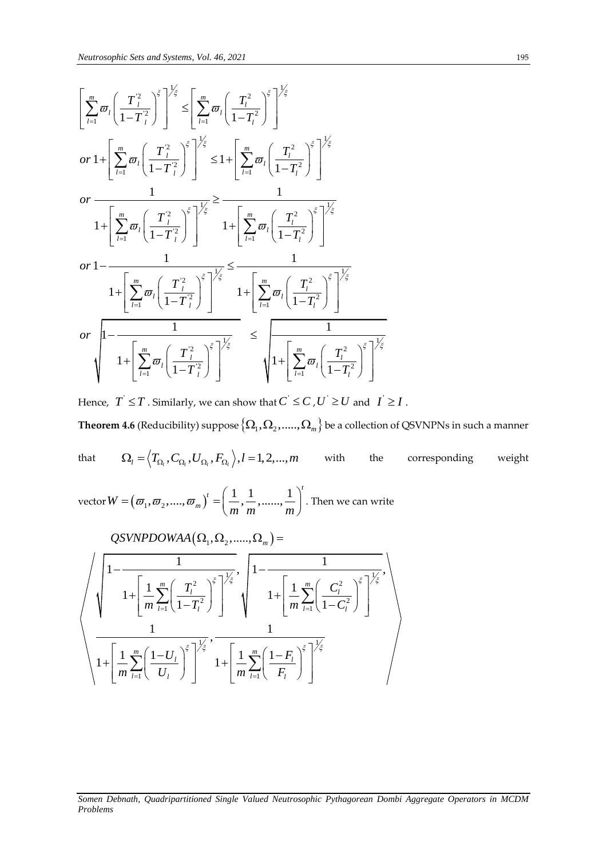**Neutronscopic Sets and Systems, Vol. 46, 2021**  
\n
$$
\left[ \sum_{i=1}^{m} \varpi_i \left( \frac{T_i^2}{1 - T_i^2} \right)^{\xi} \right]^{1/\xi} \le \left[ \sum_{i=1}^{m} \varpi_i \left( \frac{T_i^2}{1 - T_i^2} \right)^{\xi} \right]^{1/\xi}
$$
\n
$$
or \ 1 + \left[ \sum_{i=1}^{m} \varpi_i \left( \frac{T_i^2}{1 - T_i^2} \right)^{\xi} \right]^{1/\xi} \le 1 + \left[ \sum_{i=1}^{m} \varpi_i \left( \frac{T_i^2}{1 - T_i^2} \right)^{\xi} \right]^{1/\xi}
$$
\n
$$
or \ \frac{1}{1 + \left[ \sum_{i=1}^{m} \varpi_i \left( \frac{T_i^2}{1 - T_i^2} \right)^{\xi} \right]^{1/\xi}} \ge \frac{1}{1 + \left[ \sum_{i=1}^{m} \varpi_i \left( \frac{T_i^2}{1 - T_i^2} \right)^{\xi} \right]^{1/\xi}}
$$
\n
$$
or \ 1 - \frac{1}{1 + \left[ \sum_{i=1}^{m} \varpi_i \left( \frac{T_i^2}{1 - T_i^2} \right)^{\xi} \right]^{1/\xi}} \le \frac{1}{1 + \left[ \sum_{i=1}^{m} \varpi_i \left( \frac{T_i^2}{1 - T_i^2} \right)^{\xi} \right]^{1/\xi}}
$$
\n
$$
or \ \sqrt{1 - \frac{1}{1 + \left[ \sum_{i=1}^{m} \varpi_i \left( \frac{T_i^2}{1 - T_i^2} \right)^{\xi} \right]^{1/\xi}} \le \sqrt{1 + \left[ \sum_{i=1}^{m} \varpi_i \left( \frac{T_i^2}{1 - T_i^2} \right)^{\xi} \right]^{1/\xi}}
$$

Hence,  $T^{'} \leq T$  . Similarly, we can show that  $C^{'} \leq C$  ,  $U^{'} \geq U$  and  $|I^{'} \geq I$  .  $\bf Theorem~4.6$  (Reducibility) suppose  $\{\Omega_1,\Omega_2,.....,\Omega_m\}$  be a collection of QSVNPNs in such a manner

that 
$$
\Omega_l = \langle T_{\Omega_l}, C_{\Omega_l}, U_{\Omega_l}, F_{\Omega_l} \rangle, l = 1, 2, ..., m
$$
 with the corresponding weight

vector  $W = (\omega_1, \omega_2, ..., \omega_m)^t = \left(\frac{1}{m}, \frac{1}{m}, ..., \frac{1}{m}\right)^t$  $=(\varpi_1, \varpi_2, ..., \varpi_m)^t = \left(\frac{1}{m}, \frac{1}{m}, ..., \frac{1}{m}\right)^t$ . Then  $\binom{m}{m} = \left(\frac{m}{m}, \frac{m}{m}, \dots, \frac{m}{m}\right)$ . Then we can write  $\Omega_1, \Omega_2, \dots, \Omega_m$  =

$$
\left\langle \sqrt{\frac{1 - \frac{1}{1 - \left(\frac{1}{m} \sum_{l=1}^{m} \left(\frac{T_l^2}{1 - T_l^2}\right)^{\xi}\right)^{1/2}}{1 + \left[\frac{1}{m} \sum_{l=1}^{m} \left(\frac{T_l^2}{1 - T_l^2}\right)^{\xi}\right]^{1/2}}}, \sqrt{\frac{1 - \frac{1}{1 + \left[\frac{1}{m} \sum_{l=1}^{m} \left(\frac{C_l^2}{1 - C_l^2}\right)^{\xi}\right]^{1/2}}{1 + \left[\frac{1}{m} \sum_{l=1}^{m} \left(\frac{1 - U_l}{U_l}\right)^{\xi}\right]^{1/2}}}, \frac{1}{1 + \left[\frac{1}{m} \sum_{l=1}^{m} \left(\frac{1 - F_l}{F_l}\right)^{\xi}\right]^{1/2}}}\right\rangle
$$

#### *Somen Debnath, Quadripartitioned Single Valued Neutrosophic Pythagorean Dombi Aggregate Operators in MCDM Problems*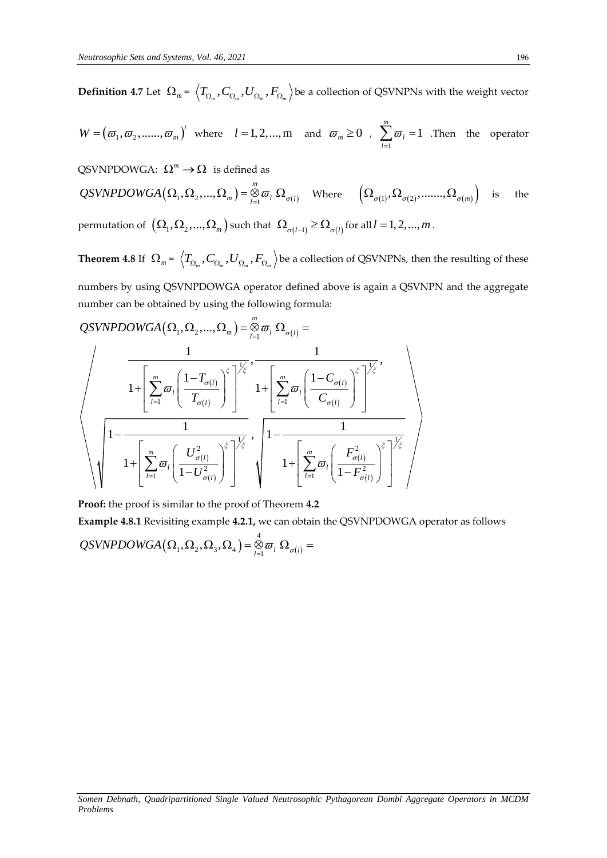$\bf{Definition 4.7}$  Let  $\ \Omega_{_m}$  =  $\ \left\langle T_{\Omega_{_m}},C_{\Omega_{_m}},F_{\Omega_{_m}}\right\rangle$  be a collection of QSVNPNs with the weight vector

 $W = (\varpi_1, \varpi_2, \dots, \varpi_m)^t$  where  $l = 1, 2, \dots, m$  and  $\varpi_m \ge 0$ , 1 1 *m l l*  $\varpi$  $\sum_{l=1}$   $\varpi_l$  = 1 .Then the operator

QSVNPDOWGA:  $\Omega^m \to \Omega$  is defined as

 $\Omega^m \to \Omega$  is defined as<br>  $(\Omega_1, \Omega_2, ..., \Omega_m) = \bigotimes_{l=1}^m \varpi_l \Omega_{\sigma(l)}$  $QSVNPDOWGA: \ \Omega^m \to \Omega$  is defined as<br>  $QSVNPDOWGA(\Omega_1, \Omega_2, ..., \Omega_m) = \bigotimes_{l=1}^m \varpi_l \ \Omega_{\sigma(l)}$  Where  $\left(\Omega_{\sigma(1)}, \Omega_{\sigma(2)}, ..., \Omega_{\sigma(m)}\right)$ the

permutation of  $(\Omega_1, \Omega_2, ..., \Omega_m)$  such that  $(\Omega_{\sigma(l-1)} \ge \Omega_{\sigma(l)})$  for all  $l = 1, 2, ..., m$  .

**Theorem 4.8** If  $\ \Omega_m = \ \left\langle T_{\Omega_m}, C_{\Omega_m}, U_{\Omega_m}, F_{\Omega_m} \right\rangle$  be a collection of QSVNPNs, then the resulting of these

numbers by using QSVNPDOWGA operator defined above is again a QSVNPN and the aggregate<br>number can be obtained by using the following formula:<br> $QSVNPDOWGA(\Omega_1, \Omega_2, ..., \Omega_m) = \bigotimes_{l=1}^m \sigma_l \Omega_{\sigma(l)} =$ number can be obtained by using the following formula:  $\alpha$ , NPDO<br>d by usi<br>,  $\Omega_2$ , ...,

$$
\underbrace{QSVNPDOWGA\left(\Omega_{1},\Omega_{2},...,\Omega_{m}\right)}_{1+\left[\displaystyle\sum_{l=1}^{m}\varpi_{l}\left(\dfrac{1-T_{\sigma(l)}}{T_{\sigma(l)}}\right)^{\xi}\right]^{\frac{1}{\xi}}},\frac{1}{1+\left[\displaystyle\sum_{l=1}^{m}\varpi_{l}\left(\dfrac{1-C_{\sigma(l)}}{C_{\sigma(l)}}\right)^{\xi}\right]^{\frac{1}{\xi}}},\\\underbrace{1-\frac{1}{1+\left[\displaystyle\sum_{l=1}^{m}\varpi_{l}\left(\dfrac{U_{\sigma(l)}^{2}}{1-U_{\sigma(l)}^{2}}\right)^{\frac{1}{\xi}}},\frac{1}{1-\frac{1}{1+\left[\displaystyle\sum_{l=1}^{m}\varpi_{l}\left(\dfrac{F_{\sigma(l)}^{2}}{1-F_{\sigma(l)}^{2}}\right)^{\xi}\right]^{\frac{1}{\xi}}}}_{1+\left[\displaystyle\sum_{l=1}^{m}\varpi_{l}\left(\dfrac{F_{\sigma(l)}^{2}}{1-F_{\sigma(l)}^{2}}\right)^{\xi}\right]^{\frac{1}{\xi}}}}_{1+\left[\displaystyle\sum_{l=1}^{m}\varpi_{l}\left(\dfrac{F_{\sigma(l)}^{2}}{1-F_{\sigma(l)}^{2}}\right)^{\xi}\right]^{\frac{1}{\xi}}}
$$

**Proof:** the proof is similar to the proof of Theorem **4.2**

**Example 4.8.1** Revisiting example **4.2.1,** we can obtain the QSVNPDOWGA operator as follows  
QSVNPDOWGA 
$$
(\Omega_1, \Omega_2, \Omega_3, \Omega_4) = \bigotimes_{l=1}^4 \varpi_l \Omega_{\sigma(l)} =
$$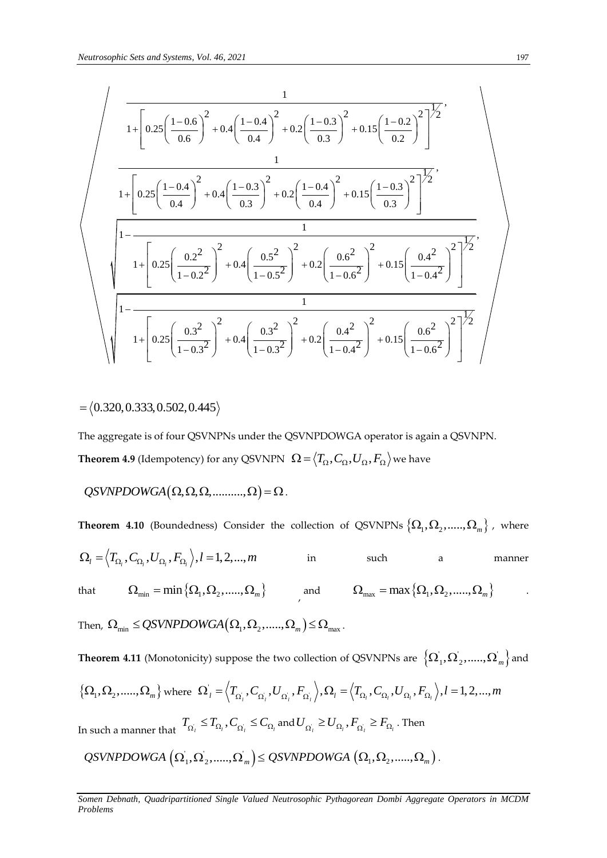$$
\sqrt{\frac{1+\left[0.25\left(\frac{1-0.6}{0.6}\right)^2+0.4\left(\frac{1-0.4}{0.4}\right)^2+0.2\left(\frac{1-0.3}{0.3}\right)^2+0.15\left(\frac{1-0.2}{0.2}\right)^2\right]^{\frac{1}{2}}}}{1+\left[0.25\left(\frac{1-0.4}{0.4}\right)^2+0.4\left(\frac{1-0.3}{0.3}\right)^2+0.2\left(\frac{1-0.4}{0.4}\right)^2+0.15\left(\frac{1-0.3}{0.3}\right)^2\right]^{\frac{1}{2}}}}{1+\left[0.25\left(\frac{0.2^2}{1-0.2^2}\right)^2+0.4\left(\frac{0.5^2}{1-0.5^2}\right)^2+0.2\left(\frac{0.6^2}{1-0.6^2}\right)^2+0.15\left(\frac{0.4^2}{1-0.4^2}\right)^2\right]^{\frac{1}{2}}}}{1+\left[0.25\left(\frac{0.3^2}{1-0.3^2}\right)^2+0.4\left(\frac{0.3^2}{1-0.3^2}\right)^2+0.2\left(\frac{0.4^2}{1-0.4^2}\right)^2+0.15\left(\frac{0.6^2}{1-0.6^2}\right)^2\right]^{\frac{1}{2}}}
$$

$$
=\langle 0.320, 0.333, 0.502, 0.445 \rangle
$$

The aggregate is of four QSVNPNs under the QSVNPDOWGA operator is again a QSVNPN. **Theorem 4.9** (Idempotency) for any QSVNPN  $\ \Omega$  =  $\big\langle T_\Omega, C_\Omega, U_\Omega, F_\Omega\big\rangle$  we have

$$
QSVNPDOWGA(\Omega, \Omega, \Omega, \ldots, \Omega) = \Omega.
$$

**Theorem 4.10** (Boundedness) Consider the collection of QSVNPNs  $\left\{\Omega_1, \Omega_2,.....,\Omega_m\right\}$  , where  $\Omega_l = \left\langle T_{\Omega_l}, C_{\Omega_l}, U_{\Omega_l}, F_{\Omega_l}\right\rangle, l = 1,2,...,m$ in such a manner that  $\Omega_{\min} = \min \{ \Omega_1, \Omega_2, \dots, \Omega_m \}$  and  $\Omega_{\max} = \max \{ \Omega_1, \Omega_2, \dots, \Omega_m \}$  . Then,  $\Omega_{\min} \le QSVNPDOWGA(\Omega_1, \Omega_2, \dots, \Omega_m) \le \Omega_{\max}$ .

**Theorem 4.11** (Monotonicity) suppose the two collection of QSVNPNs are  $\left\{\Omega_1, \Omega_2,.....,\Omega_m\right\}$  and  $\{\Omega_1, \Omega_2, \ldots, \Omega_m\}$  where  $\Omega_1 = \langle T_{\Omega_1}, C_{\Omega_1}, U_{\Omega_1}, F_{\Omega_2} \rangle$ ity) suppose the two collection of QSVNPNs are  $\{\Omega_1, \Omega_2, ..., \Omega_n\}$ <br>  $\Omega'_l = \langle T_{\Omega'_l}, C_{\Omega'_l}, U_{\Omega'_l}, F_{\Omega'_l} \rangle, \Omega_l = \langle T_{\Omega_l}, C_{\Omega_l}, U_{\Omega_l}, F_{\Omega_l} \rangle, l = 1, 2, ..., m$ In such a manner that  $T_{\Omega_i} \leq T_{\Omega_i}$ ,  $C_{\Omega_i} \leq C_{\Omega_i}$  and  $U_{\Omega_i} \geq U_{\Omega_i}$ ,  $F_{\Omega_i} \geq F_{\Omega_i}$ . Then

$$
\mathcal{Q}\textit{S}\textit{V}\textit{NP} \textit{D}\textit{OWGA}\left(\Omega_1,\Omega_2,......,\Omega_m\right) \leq \mathcal{Q}\textit{S}\textit{V}\textit{NP} \textit{D}\textit{O}\textit{W}\textit{GA}\left(\Omega_1,\Omega_2,......,\Omega_m\right).
$$

*Somen Debnath, Quadripartitioned Single Valued Neutrosophic Pythagorean Dombi Aggregate Operators in MCDM Problems*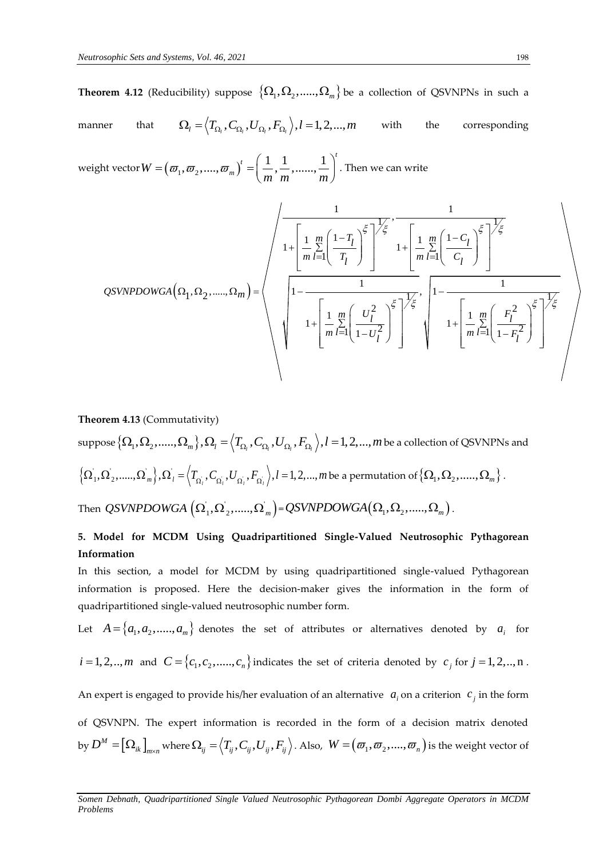**Theorem 4.12** (Reducibility) suppose  $\left\{\Omega_1, \Omega_2,.....,\Omega_m\right\}$  be a collection of QSVNPNs in such a manner that  $\Omega_l = \left\langle T_{\Omega_l}, C_{\Omega_l}, U_{\Omega_l}, F_{\Omega_l}\right\rangle, l = 1,2,...,m$ with the corresponding

weight vector  $W = (\varpi_1, \varpi_2, ..., \varpi_m)^t = \left(\frac{1}{m}, \frac{1}{m}, ..., \frac{1}{m}\right)^t$  $=(\varpi_1, \varpi_2, ..., \varpi_m)^t = \left(\frac{1}{m}, \frac{1}{m}, ..., \frac{1}{m}\right)^t$ . Then . Then we can write Then we can write<br>  $\frac{1}{\sqrt{1-\frac{1}{n}}}, \frac{1}{\sqrt{n}}$ 

At vector 
$$
W = (\varpi_1, \varpi_2, ..., \varpi_m) = \left(\frac{1}{m}, \frac{1}{m}, ..., \frac{1}{m}\right)
$$
. Then we can write

\n
$$
QSVNPDOWGA\left(\Omega_1, \Omega_2, ..., \Omega_m\right) = \left(\frac{1}{\left(\frac{1}{m}, \frac{m}{m}\right)^{\frac{r}{2}}}\right)^{\frac{1}{r}} \left(\frac{1 - T_l}{T_l}\right)^{\frac{r}{2}} \left(\frac{1}{T_l}\right)^{\frac{1}{r}} \left(\frac{1}{\left(\frac{1}{m}, \frac{m}{m}\right)^{\frac{r}{2}}}\right)^{\frac{1}{r}} \left(\frac{1}{\left(\frac{1}{m}, \frac{m}{m}\right)^{\frac{r}{2}}}\right)^{\frac{r}{r}}
$$
\n
$$
1 + \left[\frac{1}{m}, \frac{m}{m}\left(\frac{U_l^2}{1 - U_l^2}\right)^{\frac{r}{2}}\right]^{\frac{1}{r}} \left(\frac{1}{\left(\frac{1}{m}, \frac{m}{m}\right)^{\frac{r}{2}}}\right)^{\frac{r}{r}} \left(\frac{1}{\left(\frac{1}{m}, \frac{m}{m}\right)^{\frac{r}{2}}}\right)^{\frac{r}{r}}
$$

**Theorem 4.13** (Commutativity) **Theorem 4.13** (Commutativity)<br>suppose  $\{\Omega_1, \Omega_2, ...., \Omega_m\}, \Omega_l = \left\langle T_{\Omega_l}, C_{\Omega_l}, U_{\Omega_l}, F_{\Omega_l}\right\rangle, l = 1, 2, ..., m$  be a collection of QSVNPNs and  $\left\{ {\Omega _1^{'},\Omega _2^{'},.....,\Omega _m^{'}} \right\}, {\Omega _l^{'}} = \left\langle {T_{{\Omega _l^{'}}},C_{{\Omega _l^{'}}},U_{{\Omega _l^{'}}},F_{{\Omega _l^{'}}}} \right\rangle$  $\Omega_1, \Omega_2, \ldots, \Omega_m, \Omega_i = \left\langle T_{\Omega_i}, C_{\Omega_i}, H_{\Omega_i}, I_{\Omega_i}, H_{\Omega_i}, H_{\Omega_i}, H_{\Omega_i}, \Omega_{\Omega_1}, \Omega_{\Omega_2}, \ldots, \Omega_m \right\rangle.$ Then *QSVNPDOWGA*  $(\Omega_1, \Omega_2, ....., \Omega_m)$ =*QSVNPDOWGA* $(\Omega_1, \Omega_2, ....., \Omega_m)$ .

# **5. Model for MCDM Using Quadripartitioned Single-Valued Neutrosophic Pythagorean Information**

In this section, a model for MCDM by using quadripartitioned single-valued Pythagorean information is proposed. Here the decision-maker gives the information in the form of quadripartitioned single-valued neutrosophic number form.

Let  $A = \{a_1, a_2, \ldots, a_m\}$  denotes the set of attributes or alternatives denoted by  $a_i$  for  $i = 1, 2, ..., m$  and  $C = \{c_1, c_2, \dots, c_n\}$  indicates the set of criteria denoted by  $c_j$  for  $j = 1, 2, ..., n$ . An expert is engaged to provide his/her evaluation of an alternative  $a_i$  on a criterion  $c_j$  in the form

of QSVNPN. The expert information is recorded in the form of a decision matrix denoted by  $D^M = [\Omega_{ik}]$  $D^M = \big[\Omega_{ik}\big]_{\!\!\! m \times n}$  where  $\Omega_{ij} = \left\langle T_{ij}, C_{ij}, U_{ij}, F_{ij}\right\rangle$ . Also,  $\; W = \left(\varpi_1, \varpi_2, ...., \varpi_n\right)$  is the weight vector of

*Somen Debnath, Quadripartitioned Single Valued Neutrosophic Pythagorean Dombi Aggregate Operators in MCDM Problems*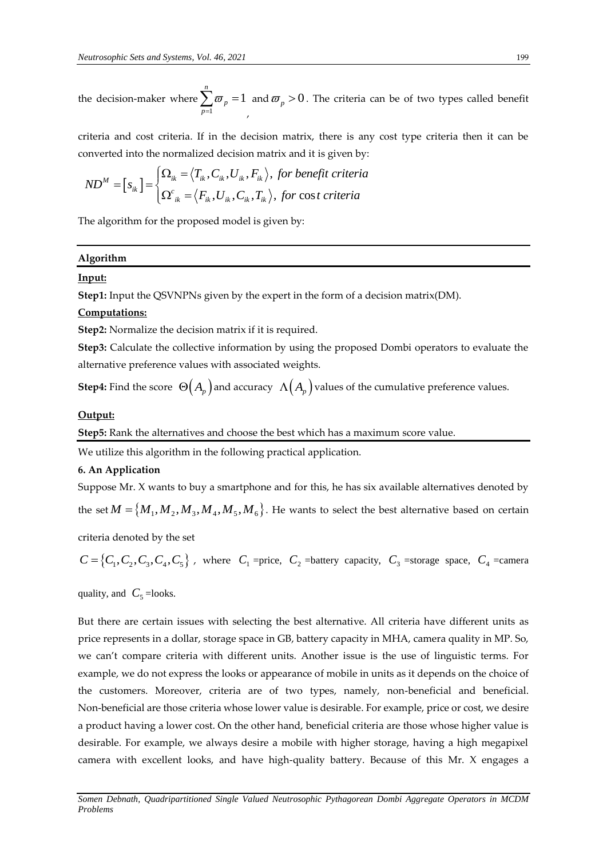the decision-maker where 1 1 *n p p*  $\varpi$  $\sum_{p=1} \bm{\varpi}_p =$ , and  $\overline{\omega}_p > 0$ . The criteria can be of two types called benefit

criteria and cost criteria. If in the decision matrix, there is any cost type criteria then it can be converted into the normalized decision matrix and it is given by: for the decision matrix and it is given by:<br>  $T_{ik}$ ,  $C_{ik}$ ,  $U_{ik}$ ,  $F_{ik}$ , for benefit criteria e normalized des<br>  $\int \Omega_{ik} = \langle T_{ik}, C_{ik},$ 

onverted into the normalized decision matrix and it is given by  
\n
$$
ND^{M} = [s_{ik}] = \begin{cases} \Omega_{ik} = \langle T_{ik}, C_{ik}, U_{ik}, F_{ik} \rangle, \text{ for benefit criteria} \\ \Omega_{ik}^{c} = \langle F_{ik}, U_{ik}, C_{ik}, T_{ik} \rangle, \text{ for cost criteria} \end{cases}
$$

The algorithm for the proposed model is given by:

### **Algorithm**

### **Input:**

**Step1:** Input the QSVNPNs given by the expert in the form of a decision matrix(DM).

### **Computations:**

**Step2:** Normalize the decision matrix if it is required.

**Step3:** Calculate the collective information by using the proposed Dombi operators to evaluate the alternative preference values with associated weights.

**Step4:** Find the score  $\Theta(A_p)$  and accuracy  $\Lambda(A_p)$  values of the cumulative preference values.

### **Output:**

**Step5:** Rank the alternatives and choose the best which has a maximum score value.

We utilize this algorithm in the following practical application.

### **6. An Application**

Suppose Mr. X wants to buy a smartphone and for this, he has six available alternatives denoted by the set  $M = {M_1, M_2, M_3, M_4, M_5, M_6}$ . He wants to select the best alternative based on certain

criteria denoted by the set

 $C = \{C_1, C_2, C_3, C_4, C_5\}$ , where  $C_1$  =price,  $C_2$  =battery capacity,  $C_3$  =storage space,  $C_4$  =camera

quality, and  $C_5$  =looks.

But there are certain issues with selecting the best alternative. All criteria have different units as price represents in a dollar, storage space in GB, battery capacity in MHA, camera quality in MP. So, we can't compare criteria with different units. Another issue is the use of linguistic terms. For example, we do not express the looks or appearance of mobile in units as it depends on the choice of the customers. Moreover, criteria are of two types, namely, non-beneficial and beneficial. Non-beneficial are those criteria whose lower value is desirable. For example, price or cost, we desire a product having a lower cost. On the other hand, beneficial criteria are those whose higher value is desirable. For example, we always desire a mobile with higher storage, having a high megapixel camera with excellent looks, and have high-quality battery. Because of this Mr. X engages a

*Somen Debnath, Quadripartitioned Single Valued Neutrosophic Pythagorean Dombi Aggregate Operators in MCDM Problems*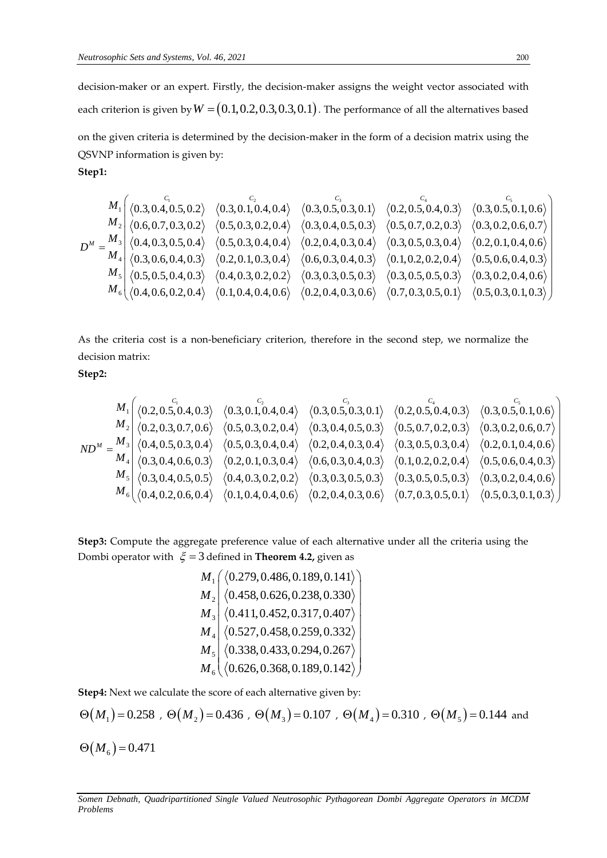decision-maker or an expert. Firstly, the decision-maker assigns the weight vector associated with each criterion is given by  $W$  =  $(0.1,0.2,0.3,0.3,0.1)$  . The performance of all the alternatives based on the given criteria is determined by the decision-maker in the form of a decision matrix using the QSVNP information is given by: **Step1:** 

$$
M_1 \begin{pmatrix} C_1 & C_2 & C_3 \ 0.3, 0.4, 0.5, 0.2 \end{pmatrix} \begin{pmatrix} C_2 & C_3 & C_4 \ 0.3, 0.4, 0.5, 0.2 \end{pmatrix} \begin{pmatrix} C_1 & C_2 & C_3 \ 0.3, 0.1, 0.4, 0.4 \end{pmatrix} \begin{pmatrix} C_2 & C_3 & C_4 \ 0.3, 0.5, 0.3, 0.1 \end{pmatrix} \begin{pmatrix} C_3 & C_4 & C_5 \ 0.2, 0.5, 0.4, 0.3 \end{pmatrix} \begin{pmatrix} C_3 & C_4 \ 0.3, 0.5, 0.1, 0.6 \end{pmatrix}
$$
  
\n
$$
D^M = \frac{M_3}{M_4} \begin{pmatrix} 0.4, 0.3, 0.5, 0.4 \end{pmatrix} \begin{pmatrix} 0.5, 0.3, 0.2, 0.4 \end{pmatrix} \begin{pmatrix} 0.5, 0.3, 0.4, 0.4 \end{pmatrix} \begin{pmatrix} 0.2, 0.4, 0.3, 0.5 \end{pmatrix} \begin{pmatrix} 0.3, 0.5, 0.1, 0.6 \end{pmatrix} \begin{pmatrix} 0.3, 0.2, 0.6, 0.7 \end{pmatrix}
$$
  
\n
$$
D^M = \frac{M_3}{M_4} \begin{pmatrix} 0.4, 0.3, 0.5, 0.4 \end{pmatrix} \begin{pmatrix} 0.5, 0.3, 0.4, 0.4 \end{pmatrix} \begin{pmatrix} 0.2, 0.4, 0.3, 0.4 \end{pmatrix} \begin{pmatrix} 0.2, 0.4, 0.3, 0.4 \end{pmatrix} \begin{pmatrix} 0.2, 0.4, 0.3, 0.4 \end{pmatrix} \begin{pmatrix} 0.3, 0.5, 0.3, 0.4 \end{pmatrix} \begin{pmatrix} 0.2, 0.4, 0.3 \end{pmatrix} \begin{pmatrix} 0.3, 0.5, 0.4, 0.3 \end{pmatrix} \begin{pmatrix} 0.4, 0.3, 0.5,
$$

As the criteria cost is a non-beneficiary criterion, therefore in the second step, we normalize the decision matrix:

**Step2:** 

$$
M_1 \begin{pmatrix} c_1 & c_2 \ (0.2, 0.5, 0.4, 0.3) & (0.3, 0.1, 0.4, 0.4) & (0.3, 0.5, 0.3, 0.1) & (0.2, 0.5, 0.4, 0.3) & (0.3, 0.5, 0.1, 0.6) \\ M_2 & (0.2, 0.3, 0.7, 0.6) & (0.5, 0.3, 0.2, 0.4) & (0.3, 0.4, 0.5, 0.3) & (0.5, 0.7, 0.2, 0.3) & (0.3, 0.2, 0.6, 0.7) \\ M_3 & (0.4, 0.5, 0.3, 0.4) & (0.5, 0.3, 0.4, 0.4) & (0.2, 0.4, 0.3, 0.4) & (0.3, 0.5, 0.3, 0.4) & (0.2, 0.4, 0.3, 0.4) & (0.2, 0.1, 0.4, 0.6) \\ M_4 & (0.3, 0.4, 0.6, 0.3) & (0.2, 0.1, 0.3, 0.4) & (0.6, 0.3, 0.4, 0.3) & (0.1, 0.2, 0.2, 0.4) & (0.5, 0.6, 0.4, 0.3) \\ M_5 & (0.3, 0.4, 0.5, 0.5) & (0.4, 0.3, 0.2, 0.2) & (0.3, 0.3, 0.5, 0.3) & (0.3, 0.5, 0.5, 0.3) & (0.3, 0.2, 0.4, 0.6) \\ M_6 & (0.4, 0.2, 0.6, 0.4) & (0.1, 0.4, 0.4, 0.6) & (0.2, 0.4, 0.3, 0.6) & (0.7, 0.3, 0.5, 0.1) & (0.5, 0.3, 0.1, 0.3) \end{pmatrix}
$$

**Step3:** Compute the aggregate preference value of each alternative under all the criteria using the Dombi operator with  $\xi = 3$  defined in **Theorem 4.2,** given as

1 2 3 4 5 6 0.279,0.486,0.189,0.141 0.458,0.626,0.238,0.330 0.411,0.452,0.317,0.407 0.527,0.458,0.259,0.332 0.338,0.433,0.294,0.267 0.626,0.368,0.189,0.142 *M M M M M M* fined in **Theorem 4.2,** given as<br>  $\left( \begin{array}{c} (0.279, 0.486, 0.189, 0.141) \\ (0.458, 0.626, 0.238, 0.330) \end{array} \right)$  $\begin{pmatrix} \langle 0.279, 0.486, 0.189, 0.141 \rangle \\ \langle 0.458, 0.626, 0.238, 0.330 \rangle \\ \langle 0.411, 0.452, 0.317, 0.407 \rangle \end{pmatrix}$  $\begin{pmatrix} (0.279, 0.486, 0.189, 0.141) \\ (0.458, 0.626, 0.238, 0.330) \\ (0.411, 0.452, 0.317, 0.407) \end{pmatrix}$  $\begin{array}{|l|l|} \langle 0.458, 0.626, 0.238, 0.330\rangle \ \hline \langle 0.411, 0.452, 0.317, 0.407\rangle \ \hline \langle 0.527, 0.458, 0.259, 0.332\rangle \end{array}$  $\begin{pmatrix} \langle 0.411, 0.452, 0.317, 0.407 \rangle \\ \langle 0.527, 0.458, 0.259, 0.332 \rangle \end{pmatrix}$  $\begin{pmatrix} (0.411, 0.452, 0.317, 0.407) \ (0.527, 0.458, 0.259, 0.332) \ (0.338, 0.433, 0.294, 0.267) \end{pmatrix}$  $\begin{bmatrix} \langle 0.527, 0.458, 0.259, 0.332 \rangle \\ \langle 0.338, 0.433, 0.294, 0.267 \rangle \\ \langle 0.626, 0.368, 0.189, 0.142 \rangle \end{bmatrix}$  $\begin{pmatrix} \langle 0.338, 0.433, 0.294, 0.267\rangle \ \langle 0.626, 0.368, 0.189, 0.142\rangle \end{pmatrix}$ 

**Step4:** Next we calculate the score of each alternative given by:

$$
\Theta(M_1) = 0.258
$$
,  $\Theta(M_2) = 0.436$ ,  $\Theta(M_3) = 0.107$ ,  $\Theta(M_4) = 0.310$ ,  $\Theta(M_5) = 0.144$  and  
 $\Theta(M_6) = 0.471$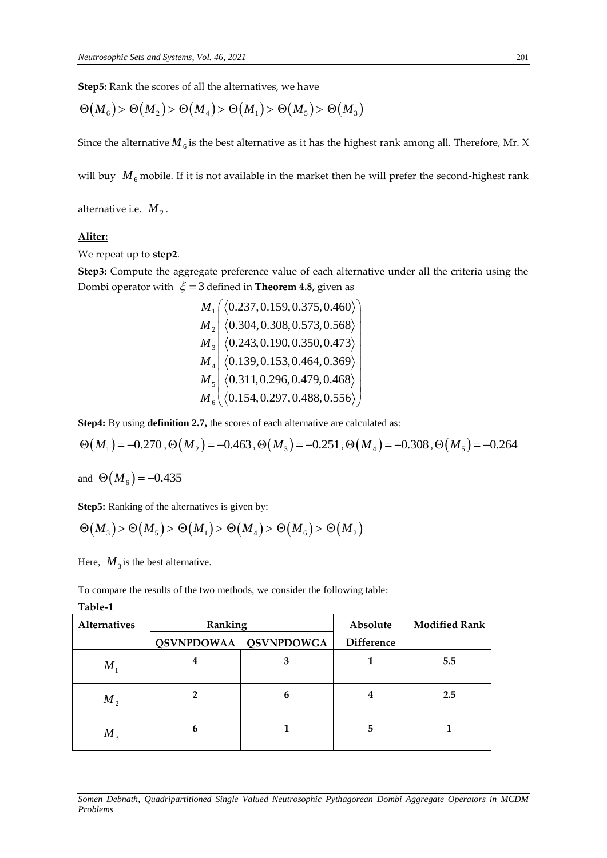**Step5:** Rank the scores of all the alternatives, we have

$$
\Theta(M_{6}) > \Theta(M_{2}) > \Theta(M_{4}) > \Theta(M_{1}) > \Theta(M_{5}) > \Theta(M_{3})
$$

Since the alternative  $M_{6}$  is the best alternative as it has the highest rank among all. Therefore, Mr. X

will buy  $M_{6}$  mobile. If it is not available in the market then he will prefer the second-highest rank

alternative i.e.  $M_{2}$  .

# **Aliter:**

We repeat up to **step2**.

**Step3:** Compute the aggregate preference value of each alternative under all the criteria using the Dombi operator with  $\xi = 3$  defined in **Theorem 4.8,** given as

1 2 3 4 5 6 0.237,0.159,0.375,0.460 0.304,0.308,0.573,0.568 0.243,0.190,0.350,0.473 0.139,0.153,0.464,0.369 0.311,0.296,0.479,0.468 0.154,0.297,0.488,0.556 *M M M M M M* fined in **Theorem 4.8**, given as<br>  $\left( \begin{array}{c} (0.237, 0.159, 0.375, 0.460) \\ (0.304, 0.308, 0.573, 0.568) \end{array} \right)$  $\begin{pmatrix} \langle 0.237, 0.159, 0.375, 0.460 \rangle \\ \langle 0.304, 0.308, 0.573, 0.568 \rangle \\ \langle 0.242, 0.100, 0.359, 0.472 \rangle \end{pmatrix}$  $\begin{bmatrix} (0.257, 0.159, 0.575, 0.460) \\ (0.304, 0.308, 0.573, 0.568) \\ (0.243, 0.190, 0.350, 0.473) \end{bmatrix}$  $\begin{array}{|l|l|l|l|} \hline \langle 0.304, 0.308, 0.573, 0.568 \rangle \ \hline \langle 0.243, 0.190, 0.350, 0.473 \rangle \ \hline \langle 0.139, 0.153, 0.464, 0.369 \rangle \hline \end{array}$  $\begin{pmatrix} 0.243, 0.190, 0.350, 0.473 \\ 0.139, 0.153, 0.464, 0.369 \end{pmatrix}$  $\begin{bmatrix} \langle 0.243, 0.190, 0.350, 0.473 \rangle \ \langle 0.139, 0.153, 0.464, 0.369 \rangle \ \langle 0.311, 0.296, 0.479, 0.468 \rangle \end{bmatrix}$  $\begin{bmatrix} \langle 0.139, 0.153, 0.464, 0.369 \rangle \\ \langle 0.311, 0.296, 0.479, 0.468 \rangle \\ \langle 0.154, 0.297, 0.488, 0.556 \rangle \end{bmatrix}$  $\begin{pmatrix} \langle 0.311, 0.296, 0.479, 0.468 \rangle \ \langle 0.154, 0.297, 0.488, 0.556 \rangle \end{pmatrix}$ 

**Step4:** By using **definition 2.7,** the scores of each alternative are calculated as:

$$
\Theta(M_1) = -0.270 \, , \Theta(M_2) = -0.463 \, , \Theta(M_3) = -0.251 \, , \Theta(M_4) = -0.308 \, , \Theta(M_5) = -0.264
$$

and  $\Theta(M_6) = -0.435$ 

Step5: Ranking of the alternatives is given by:

$$
\Theta(M_3) > \Theta(M_5) > \Theta(M_1) > \Theta(M_4) > \Theta(M_6) > \Theta(M_2)
$$

Here,  $M_3$  is the best alternative.

To compare the results of the two methods, we consider the following table:

|  |  |  | able- |  |
|--|--|--|-------|--|
|--|--|--|-------|--|

| <b>Alternatives</b> | Ranking           |                   | Absolute          | <b>Modified Rank</b> |
|---------------------|-------------------|-------------------|-------------------|----------------------|
|                     | <b>QSVNPDOWAA</b> | <b>QSVNPDOWGA</b> | <b>Difference</b> |                      |
| $M_{1}$             | 4                 | 3                 |                   | 5.5                  |
| $M_{2}$             |                   | 6                 | 4                 | 2.5                  |
| $M_{\tiny{A}}$      | h                 |                   | 5                 |                      |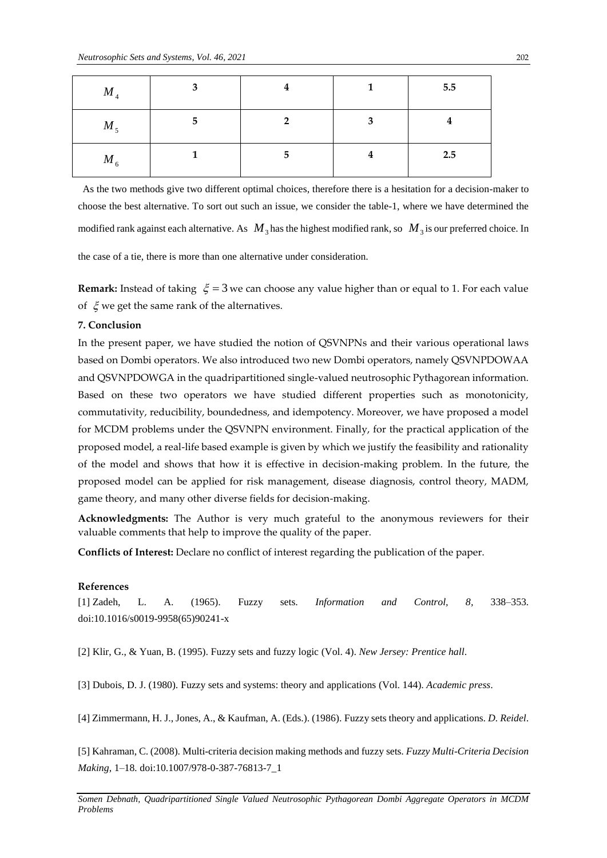| $M_{\overline{4}}$ |   |   |   | 5.5 |
|--------------------|---|---|---|-----|
| $M_{5}$            | 5 |   | 3 |     |
| $M_{6}$            |   | 5 | I | 2.5 |

As the two methods give two different optimal choices, therefore there is a hesitation for a decision-maker to choose the best alternative. To sort out such an issue, we consider the table-1, where we have determined the modified rank against each alternative. As  $M_3$  has the highest modified rank, so  $M_3$  is our preferred choice. In

the case of a tie, there is more than one alternative under consideration.

**Remark:** Instead of taking  $\xi = 3$  we can choose any value higher than or equal to 1. For each value of  $\zeta$  we get the same rank of the alternatives.

### **7. Conclusion**

*M*<sub>4</sub><br> *M*<sub>5</sub><br> *Problems M*<sub>6</sub><br>
As the tv<br>
choose the modified if<br>
the case of<br> **Remark:**<br>
of  $\xi$  we {<br>
7. Conclu<br>
In the pr<br>
7. Conclu<br>
In the pr<br>
based on<br>
and QSV<br>
Based on<br>
commuta<br>
for MCD<br>
proposed<br>
of the m<br>
pr In the present paper, we have studied the notion of QSVNPNs and their various operational laws based on Dombi operators. We also introduced two new Dombi operators, namely QSVNPDOWAA and QSVNPDOWGA in the quadripartitioned single-valued neutrosophic Pythagorean information. Based on these two operators we have studied different properties such as monotonicity, commutativity, reducibility, boundedness, and idempotency. Moreover, we have proposed a model for MCDM problems under the QSVNPN environment. Finally, for the practical application of the proposed model, a real-life based example is given by which we justify the feasibility and rationality of the model and shows that how it is effective in decision-making problem. In the future, the proposed model can be applied for risk management, disease diagnosis, control theory, MADM, game theory, and many other diverse fields for decision-making.

**Acknowledgments:** The Author is very much grateful to the anonymous reviewers for their valuable comments that help to improve the quality of the paper.

**Conflicts of Interest:** Declare no conflict of interest regarding the publication of the paper.

### **References**

[1] Zadeh, L. A. (1965). Fuzzy sets. *Information and Control, 8,* 338–353*.* doi:10.1016/s0019-9958(65)90241-x

[2] Klir, G., & Yuan, B. (1995). Fuzzy sets and fuzzy logic (Vol. 4). *New Jersey: Prentice hall*.

[3] Dubois, D. J. (1980). Fuzzy sets and systems: theory and applications (Vol. 144). *Academic press*.

[4] Zimmermann, H. J., Jones, A., & Kaufman, A. (Eds.). (1986). Fuzzy sets theory and applications. *D. Reidel*.

[5] Kahraman, C. (2008). Multi-criteria decision making methods and fuzzy sets*. Fuzzy Multi-Criteria Decision Making,* 1–18*.* doi:10.1007/978-0-387-76813-7\_1

*Somen Debnath, Quadripartitioned Single Valued Neutrosophic Pythagorean Dombi Aggregate Operators in MCDM*  Problems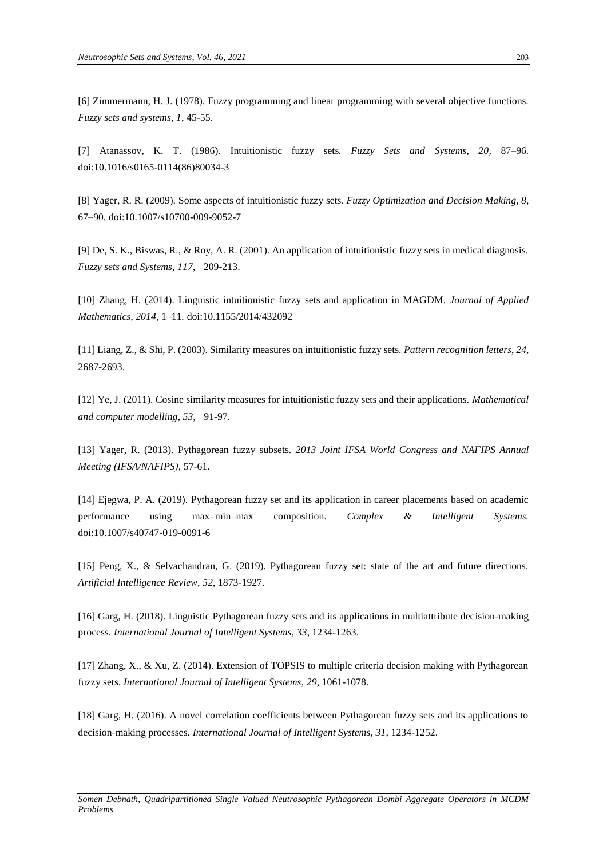[6] Zimmermann, H. J. (1978). Fuzzy programming and linear programming with several objective functions. *Fuzzy sets and systems*, *1*, 45-55.

[7] Atanassov, K. T. (1986). Intuitionistic fuzzy sets*. Fuzzy Sets and Systems, 20,* 87–96*.* doi:10.1016/s0165-0114(86)80034-3

[8] Yager, R. R. (2009). Some aspects of intuitionistic fuzzy sets*. Fuzzy Optimization and Decision Making, 8,*  67–90*.* doi:10.1007/s10700-009-9052-7

[9] De, S. K., Biswas, R., & Roy, A. R. (2001). An application of intuitionistic fuzzy sets in medical diagnosis. *Fuzzy sets and Systems*, *117*, 209-213.

[10] Zhang, H. (2014). Linguistic intuitionistic fuzzy sets and application in MAGDM*. Journal of Applied Mathematics, 2014,* 1–11*.* doi:10.1155/2014/432092

[11] Liang, Z., & Shi, P. (2003). Similarity measures on intuitionistic fuzzy sets. *Pattern recognition letters*, *24*, 2687-2693.

[12] Ye, J. (2011). Cosine similarity measures for intuitionistic fuzzy sets and their applications. *Mathematical and computer modelling*, *53*, 91-97.

[13] Yager, R. (2013). Pythagorean fuzzy subsets*. 2013 Joint IFSA World Congress and NAFIPS Annual Meeting (IFSA/NAFIPS),* 57-61*.*

[14] Ejegwa, P. A. (2019). Pythagorean fuzzy set and its application in career placements based on academic performance using max–min–max composition. *Complex & Intelligent Systems.* doi:10.1007/s40747-019-0091-6

[15] Peng, X., & Selvachandran, G. (2019). Pythagorean fuzzy set: state of the art and future directions. *Artificial Intelligence Review*, *52*, 1873-1927.

[16] Garg, H. (2018). Linguistic Pythagorean fuzzy sets and its applications in multiattribute decision‐making process. *International Journal of Intelligent Systems*, *33*, 1234-1263.

[17] Zhang, X., & Xu, Z. (2014). Extension of TOPSIS to multiple criteria decision making with Pythagorean fuzzy sets. *International Journal of Intelligent Systems*, *29*, 1061-1078.

[18] Garg, H. (2016). A novel correlation coefficients between Pythagorean fuzzy sets and its applications to decision‐making processes. *International Journal of Intelligent Systems*, *31*, 1234-1252.

*Somen Debnath, Quadripartitioned Single Valued Neutrosophic Pythagorean Dombi Aggregate Operators in MCDM Problems*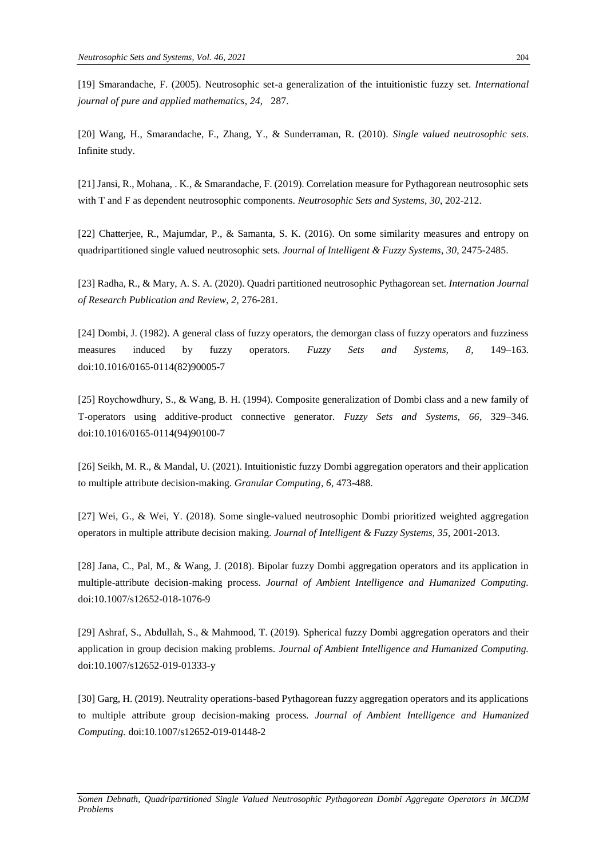[19] Smarandache, F. (2005). Neutrosophic set-a generalization of the intuitionistic fuzzy set. *International journal of pure and applied mathematics*, *24*, 287.

[20] Wang, H., Smarandache, F., Zhang, Y., & Sunderraman, R. (2010). *Single valued neutrosophic sets*. Infinite study.

[21] Jansi, R., Mohana, . K., & Smarandache, F. (2019). Correlation measure for Pythagorean neutrosophic sets with T and F as dependent neutrosophic components. *Neutrosophic Sets and Systems*, *30*, 202-212.

[22] Chatterjee, R., Majumdar, P., & Samanta, S. K. (2016). On some similarity measures and entropy on quadripartitioned single valued neutrosophic sets. *Journal of Intelligent & Fuzzy Systems*, *30*, 2475-2485.

[23] Radha, R., & Mary, A. S. A. (2020). Quadri partitioned neutrosophic Pythagorean set. *Internation Journal of Research Publication and Review, 2,* 276-281*.*

[24] Dombi, J. (1982). A general class of fuzzy operators, the demorgan class of fuzzy operators and fuzziness measures induced by fuzzy operators*. Fuzzy Sets and Systems, 8,* 149–163*.* doi:10.1016/0165-0114(82)90005-7

[25] Roychowdhury, S., & Wang, B. H. (1994). Composite generalization of Dombi class and a new family of T-operators using additive-product connective generator*. Fuzzy Sets and Systems, 66,* 329–346*.* doi:10.1016/0165-0114(94)90100-7

[26] Seikh, M. R., & Mandal, U. (2021). Intuitionistic fuzzy Dombi aggregation operators and their application to multiple attribute decision-making. *Granular Computing*, *6*, 473-488.

[27] Wei, G., & Wei, Y. (2018). Some single-valued neutrosophic Dombi prioritized weighted aggregation operators in multiple attribute decision making. *Journal of Intelligent & Fuzzy Systems*, *35*, 2001-2013.

[28] Jana, C., Pal, M., & Wang, J. (2018). Bipolar fuzzy Dombi aggregation operators and its application in multiple-attribute decision-making process. *Journal of Ambient Intelligence and Humanized Computing.* doi:10.1007/s12652-018-1076-9

[29] Ashraf, S., Abdullah, S., & Mahmood, T. (2019). Spherical fuzzy Dombi aggregation operators and their application in group decision making problems*. Journal of Ambient Intelligence and Humanized Computing.* doi:10.1007/s12652-019-01333-y

[30] Garg, H. (2019). Neutrality operations-based Pythagorean fuzzy aggregation operators and its applications to multiple attribute group decision-making process*. Journal of Ambient Intelligence and Humanized Computing.* doi:10.1007/s12652-019-01448-2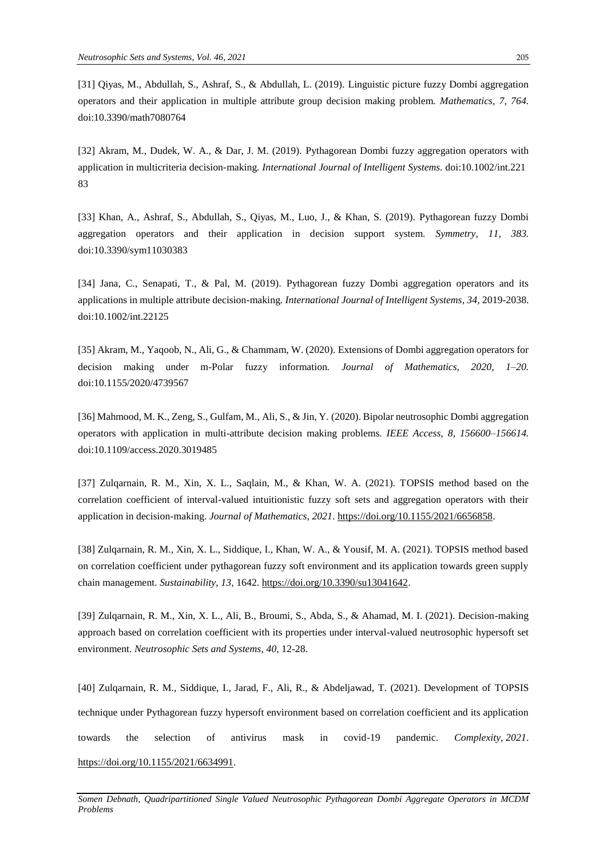[31] Qiyas, M., Abdullah, S., Ashraf, S., & Abdullah, L. (2019). Linguistic picture fuzzy Dombi aggregation operators and their application in multiple attribute group decision making problem*. Mathematics, 7, 764.* doi:10.3390/math7080764

[32] Akram, M., Dudek, W. A., & Dar, J. M. (2019). Pythagorean Dombi fuzzy aggregation operators with application in multicriteria decision‐making*. International Journal of Intelligent Systems.* doi:10.1002/int.221 83

[33] Khan, A., Ashraf, S., Abdullah, S., Qiyas, M., Luo, J., & Khan, S. (2019). Pythagorean fuzzy Dombi aggregation operators and their application in decision support system*. Symmetry, 11, 383.* doi:10.3390/sym11030383

[34] Jana, C., Senapati, T., & Pal, M. (2019). Pythagorean fuzzy Dombi aggregation operators and its applications in multiple attribute decision-making*. International Journal of Intelligent Systems, 34,* 2019-2038. doi:10.1002/int.22125

[35] Akram, M., Yaqoob, N., Ali, G., & Chammam, W. (2020). Extensions of Dombi aggregation operators for decision making under m-Polar fuzzy information*. Journal of Mathematics, 2020, 1–20.* doi:10.1155/2020/4739567

[36] Mahmood, M. K., Zeng, S., Gulfam, M., Ali, S., & Jin, Y. (2020). Bipolar neutrosophic Dombi aggregation operators with application in multi-attribute decision making problems*. IEEE Access, 8, 156600–156614.* doi:10.1109/access.2020.3019485

[37] Zulqarnain, R. M., Xin, X. L., Saqlain, M., & Khan, W. A. (2021). TOPSIS method based on the correlation coefficient of interval-valued intuitionistic fuzzy soft sets and aggregation operators with their application in decision-making. *Journal of Mathematics*, *2021*. [https://doi.org/10.1155/2021/6656858.](https://doi.org/10.1155/2021/6656858)

[38] Zulqarnain, R. M., Xin, X. L., Siddique, I., Khan, W. A., & Yousif, M. A. (2021). TOPSIS method based on correlation coefficient under pythagorean fuzzy soft environment and its application towards green supply chain management. *Sustainability*, *13*, 1642. [https://doi.org/10.3390/su13041642.](https://doi.org/10.3390/su13041642)

[39] Zulqarnain, R. M., Xin, X. L., Ali, B., Broumi, S., Abda, S., & Ahamad, M. I. (2021). Decision-making approach based on correlation coefficient with its properties under interval-valued neutrosophic hypersoft set environment. *Neutrosophic Sets and Systems*, *40*, 12-28.

[40] Zulqarnain, R. M., Siddique, I., Jarad, F., Ali, R., & Abdeljawad, T. (2021). Development of TOPSIS technique under Pythagorean fuzzy hypersoft environment based on correlation coefficient and its application towards the selection of antivirus mask in covid-19 pandemic. *Complexity*, *2021*. [https://doi.org/10.1155/2021/6634991.](https://doi.org/10.1155/2021/6634991)

*Somen Debnath, Quadripartitioned Single Valued Neutrosophic Pythagorean Dombi Aggregate Operators in MCDM Problems*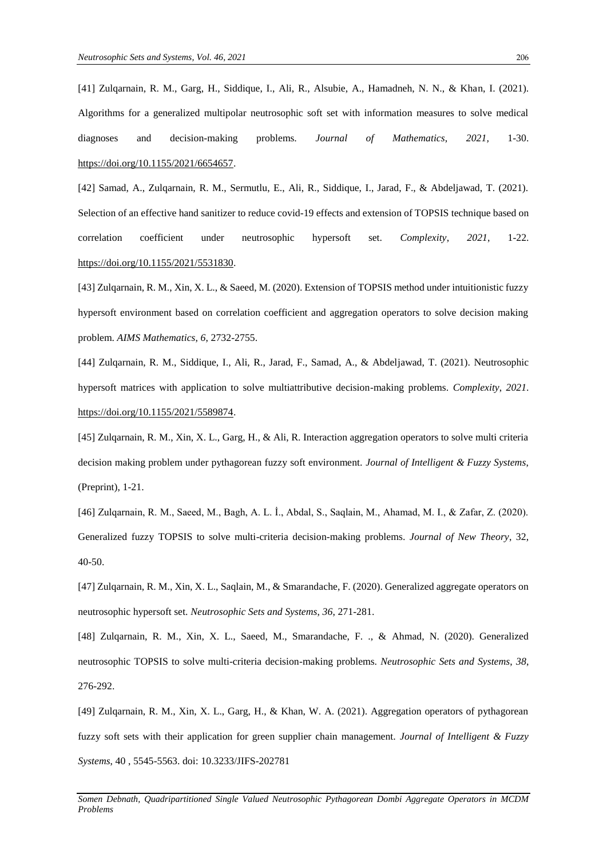[41] Zulqarnain, R. M., Garg, H., Siddique, I., Ali, R., Alsubie, A., Hamadneh, N. N., & Khan, I. (2021). Algorithms for a generalized multipolar neutrosophic soft set with information measures to solve medical diagnoses and decision-making problems. *Journal of Mathematics*, *2021,* 1-30. [https://doi.org/10.1155/2021/6654657.](https://doi.org/10.1155/2021/6654657)

[42] Samad, A., Zulqarnain, R. M., Sermutlu, E., Ali, R., Siddique, I., Jarad, F., & Abdeljawad, T. (2021). Selection of an effective hand sanitizer to reduce covid-19 effects and extension of TOPSIS technique based on correlation coefficient under neutrosophic hypersoft set. *Complexity*, *2021*, 1-22. [https://doi.org/10.1155/2021/5531830.](https://doi.org/10.1155/2021/5531830)

[43] Zulqarnain, R. M., Xin, X. L., & Saeed, M. (2020). Extension of TOPSIS method under intuitionistic fuzzy hypersoft environment based on correlation coefficient and aggregation operators to solve decision making problem. *AIMS Mathematics*, *6*, 2732-2755.

[44] Zulqarnain, R. M., Siddique, I., Ali, R., Jarad, F., Samad, A., & Abdeljawad, T. (2021). Neutrosophic hypersoft matrices with application to solve multiattributive decision-making problems. *Complexity*, *2021*. [https://doi.org/10.1155/2021/5589874.](https://doi.org/10.1155/2021/5589874)

[45] Zulqarnain, R. M., Xin, X. L., Garg, H., & Ali, R. Interaction aggregation operators to solve multi criteria decision making problem under pythagorean fuzzy soft environment. *Journal of Intelligent & Fuzzy Systems*, (Preprint), 1-21.

[46] Zulqarnain, R. M., Saeed, M., Bagh, A. L. İ., Abdal, S., Saqlain, M., Ahamad, M. I., & Zafar, Z. (2020). Generalized fuzzy TOPSIS to solve multi-criteria decision-making problems. *Journal of New Theory*, 32, 40-50.

[47] Zulqarnain, R. M., Xin, X. L., Saqlain, M., & Smarandache, F. (2020). Generalized aggregate operators on neutrosophic hypersoft set. *Neutrosophic Sets and Systems*, *36*, 271-281.

[48] Zulqarnain, R. M., Xin, X. L., Saeed, M., Smarandache, F. ., & Ahmad, N. (2020). Generalized neutrosophic TOPSIS to solve multi-criteria decision-making problems. *Neutrosophic Sets and Systems*, *38*, 276-292.

[49] Zulqarnain, R. M., Xin, X. L., Garg, H., & Khan, W. A. (2021). Aggregation operators of pythagorean fuzzy soft sets with their application for green supplier chain management. *Journal of Intelligent & Fuzzy Systems*, 40 , 5545-5563. doi: 10.3233/JIFS-202781

*Somen Debnath, Quadripartitioned Single Valued Neutrosophic Pythagorean Dombi Aggregate Operators in MCDM Problems*